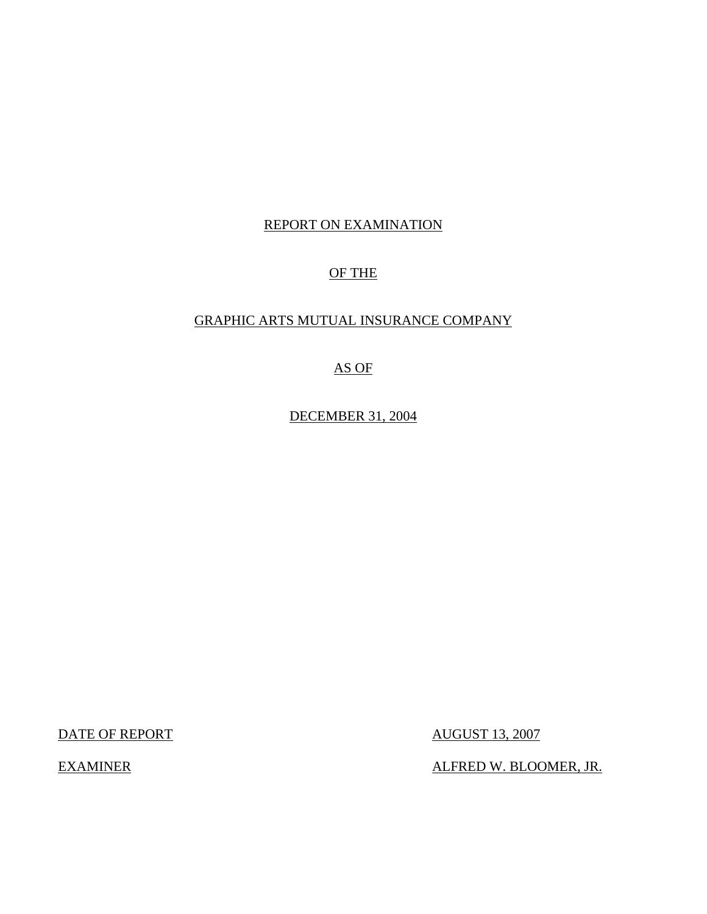# REPORT ON EXAMINATION

# OF THE

## GRAPHIC ARTS MUTUAL INSURANCE COMPANY

## AS OF

DECEMBER 31, 2004

DATE OF REPORT AUGUST 13, 2007

EXAMINER ALFRED W. BLOOMER, JR.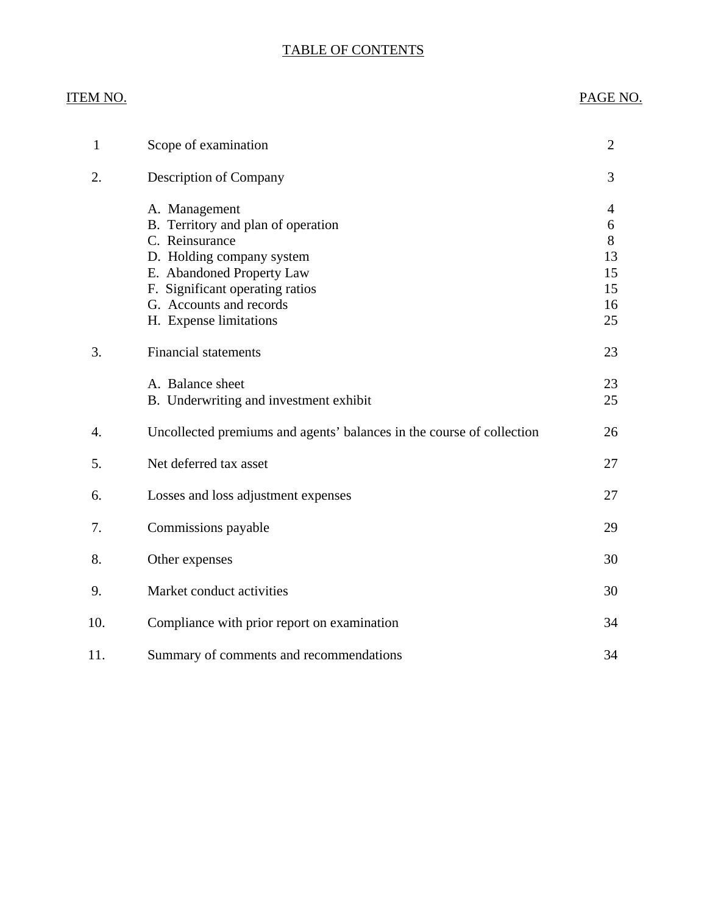## TABLE OF CONTENTS

# ITEM NO. PAGE NO.

| $\mathbf{1}$ | Scope of examination                                                                                                                                                                                                    | $\overline{2}$                            |
|--------------|-------------------------------------------------------------------------------------------------------------------------------------------------------------------------------------------------------------------------|-------------------------------------------|
| 2.           | Description of Company                                                                                                                                                                                                  | 3                                         |
|              | A. Management<br>B. Territory and plan of operation<br>C. Reinsurance<br>D. Holding company system<br>E. Abandoned Property Law<br>F. Significant operating ratios<br>G. Accounts and records<br>H. Expense limitations | 4<br>6<br>8<br>13<br>15<br>15<br>16<br>25 |
| 3.           | <b>Financial statements</b>                                                                                                                                                                                             | 23                                        |
|              | A. Balance sheet<br>B. Underwriting and investment exhibit                                                                                                                                                              | 23<br>25                                  |
| 4.           | Uncollected premiums and agents' balances in the course of collection                                                                                                                                                   | 26                                        |
| 5.           | Net deferred tax asset                                                                                                                                                                                                  | 27                                        |
| 6.           | Losses and loss adjustment expenses                                                                                                                                                                                     | 27                                        |
| 7.           | Commissions payable                                                                                                                                                                                                     | 29                                        |
| 8.           | Other expenses                                                                                                                                                                                                          | 30                                        |
| 9.           | Market conduct activities                                                                                                                                                                                               | 30                                        |
| 10.          | Compliance with prior report on examination                                                                                                                                                                             | 34                                        |
| 11.          | Summary of comments and recommendations                                                                                                                                                                                 | 34                                        |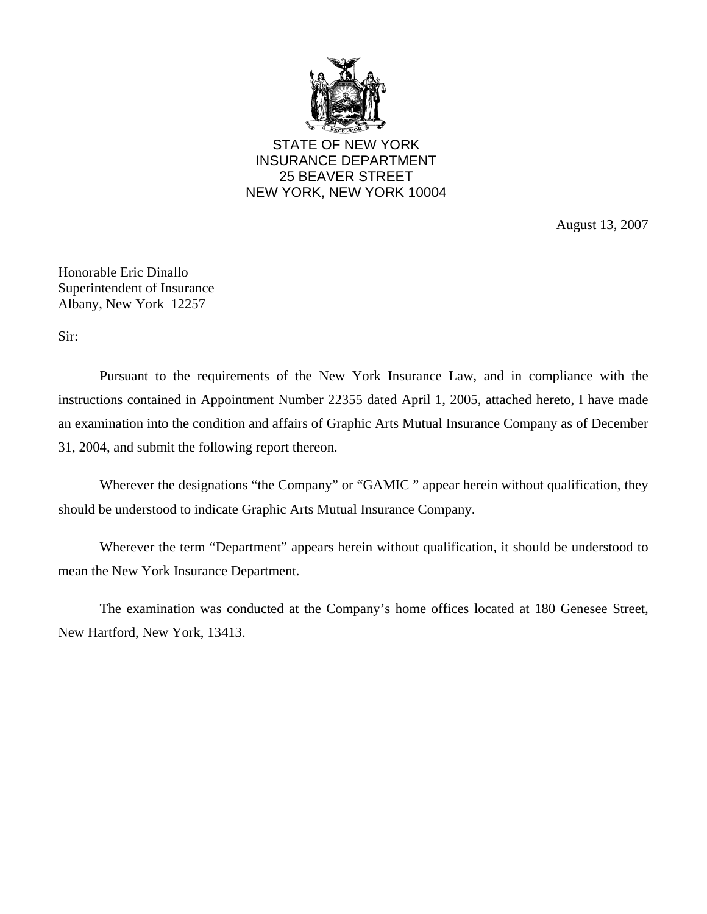

STATE OF NEW YORK INSURANCE DEPARTMENT 25 BEAVER STREET NEW YORK, NEW YORK 10004

August 13, 2007

Honorable Eric Dinallo Superintendent of Insurance Albany, New York 12257

Sir:

Pursuant to the requirements of the New York Insurance Law, and in compliance with the instructions contained in Appointment Number 22355 dated April 1, 2005, attached hereto, I have made an examination into the condition and affairs of Graphic Arts Mutual Insurance Company as of December 31, 2004, and submit the following report thereon.

Wherever the designations "the Company" or "GAMIC" appear herein without qualification, they should be understood to indicate Graphic Arts Mutual Insurance Company.

Wherever the term "Department" appears herein without qualification, it should be understood to mean the New York Insurance Department.

The examination was conducted at the Company's home offices located at 180 Genesee Street, New Hartford, New York, 13413.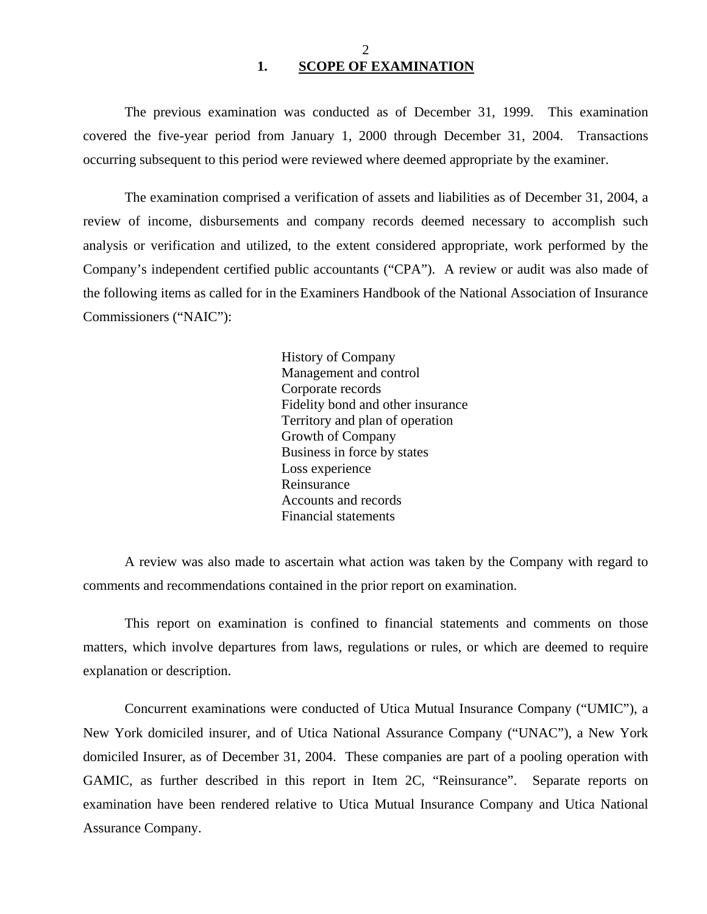The previous examination was conducted as of December 31, 1999. This examination covered the five-year period from January 1, 2000 through December 31, 2004. Transactions occurring subsequent to this period were reviewed where deemed appropriate by the examiner.

The examination comprised a verification of assets and liabilities as of December 31, 2004, a review of income, disbursements and company records deemed necessary to accomplish such analysis or verification and utilized, to the extent considered appropriate, work performed by the Company's independent certified public accountants ("CPA"). A review or audit was also made of the following items as called for in the Examiners Handbook of the National Association of Insurance Commissioners ("NAIC"):

> History of Company Management and control Corporate records Fidelity bond and other insurance Territory and plan of operation Growth of Company Business in force by states Loss experience Reinsurance Accounts and records Financial statements

A review was also made to ascertain what action was taken by the Company with regard to comments and recommendations contained in the prior report on examination.

This report on examination is confined to financial statements and comments on those matters, which involve departures from laws, regulations or rules, or which are deemed to require explanation or description.

Concurrent examinations were conducted of Utica Mutual Insurance Company ("UMIC"), a New York domiciled insurer, and of Utica National Assurance Company ("UNAC"), a New York domiciled Insurer, as of December 31, 2004. These companies are part of a pooling operation with GAMIC, as further described in this report in Item 2C, "Reinsurance". Separate reports on examination have been rendered relative to Utica Mutual Insurance Company and Utica National Assurance Company.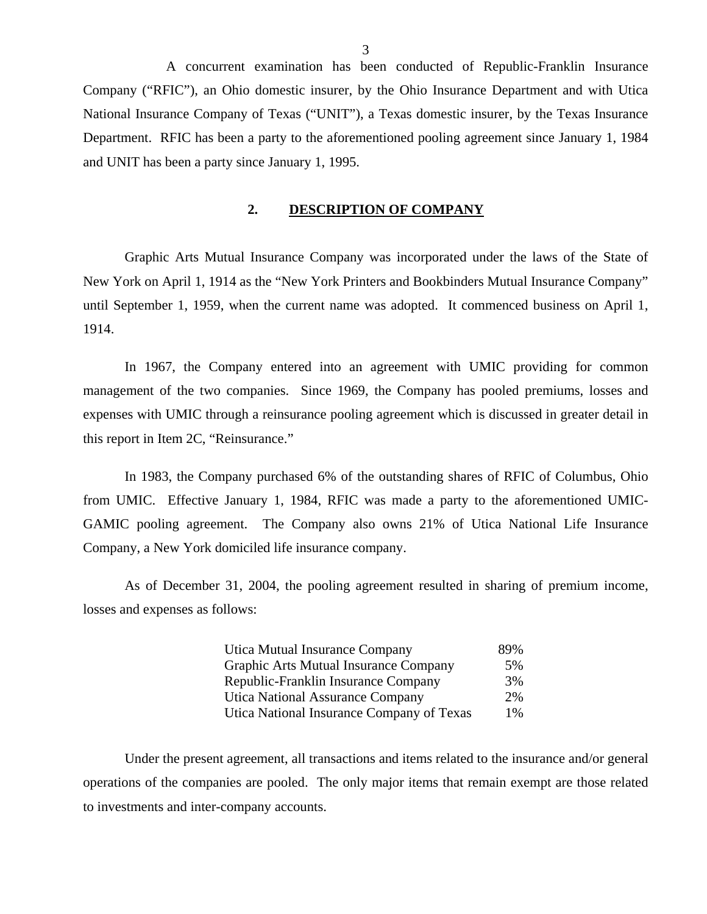A concurrent examination has been conducted of Republic-Franklin Insurance Company ("RFIC"), an Ohio domestic insurer, by the Ohio Insurance Department and with Utica National Insurance Company of Texas ("UNIT"), a Texas domestic insurer, by the Texas Insurance Department. RFIC has been a party to the aforementioned pooling agreement since January 1, 1984 and UNIT has been a party since January 1, 1995.

### **2. DESCRIPTION OF COMPANY**

Graphic Arts Mutual Insurance Company was incorporated under the laws of the State of New York on April 1, 1914 as the "New York Printers and Bookbinders Mutual Insurance Company" until September 1, 1959, when the current name was adopted. It commenced business on April 1, 1914.

In 1967, the Company entered into an agreement with UMIC providing for common management of the two companies. Since 1969, the Company has pooled premiums, losses and expenses with UMIC through a reinsurance pooling agreement which is discussed in greater detail in this report in Item 2C, "Reinsurance."

In 1983, the Company purchased 6% of the outstanding shares of RFIC of Columbus, Ohio from UMIC. Effective January 1, 1984, RFIC was made a party to the aforementioned UMIC-GAMIC pooling agreement. The Company also owns 21% of Utica National Life Insurance Company, a New York domiciled life insurance company.

As of December 31, 2004, the pooling agreement resulted in sharing of premium income, losses and expenses as follows:

| Utica Mutual Insurance Company            | 89%   |
|-------------------------------------------|-------|
| Graphic Arts Mutual Insurance Company     | 5%    |
| Republic-Franklin Insurance Company       | 3%    |
| Utica National Assurance Company          | 2%    |
| Utica National Insurance Company of Texas | $1\%$ |

Under the present agreement, all transactions and items related to the insurance and/or general operations of the companies are pooled. The only major items that remain exempt are those related to investments and inter-company accounts.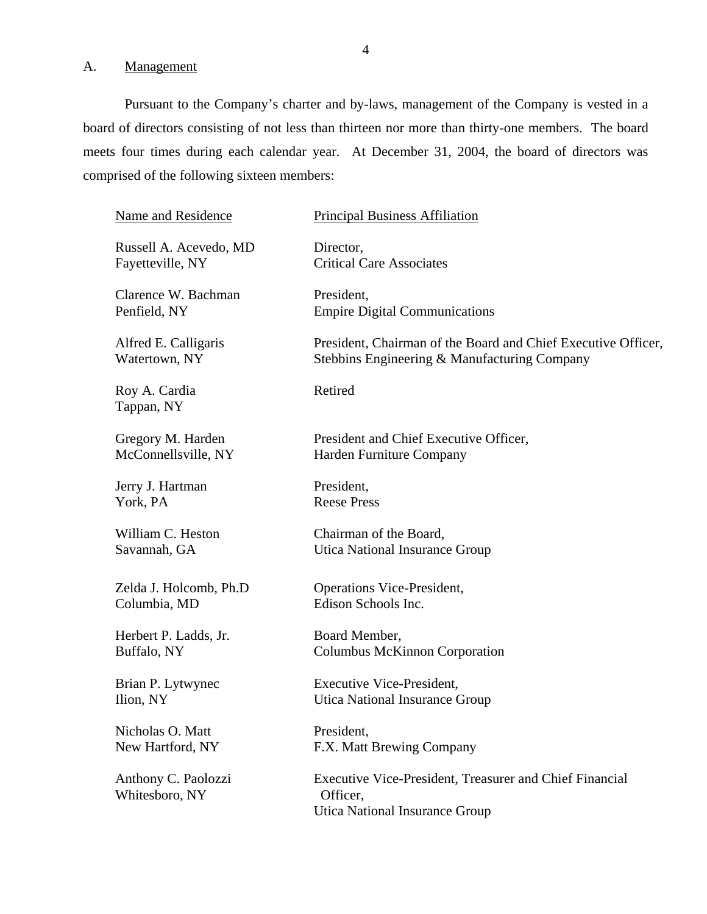A. Management

Pursuant to the Company's charter and by-laws, management of the Company is vested in a board of directors consisting of not less than thirteen nor more than thirty-one members. The board meets four times during each calendar year. At December 31, 2004, the board of directors was comprised of the following sixteen members:

| <b>Name and Residence</b>             | <b>Principal Business Affiliation</b>                                                                        |
|---------------------------------------|--------------------------------------------------------------------------------------------------------------|
| Russell A. Acevedo, MD                | Director,                                                                                                    |
| Fayetteville, NY                      | <b>Critical Care Associates</b>                                                                              |
| Clarence W. Bachman                   | President,                                                                                                   |
| Penfield, NY                          | <b>Empire Digital Communications</b>                                                                         |
| Alfred E. Calligaris                  | President, Chairman of the Board and Chief Executive Officer,                                                |
| Watertown, NY                         | Stebbins Engineering & Manufacturing Company                                                                 |
| Roy A. Cardia<br>Tappan, NY           | Retired                                                                                                      |
| Gregory M. Harden                     | President and Chief Executive Officer,                                                                       |
| McConnellsville, NY                   | Harden Furniture Company                                                                                     |
| Jerry J. Hartman                      | President,                                                                                                   |
| York, PA                              | <b>Reese Press</b>                                                                                           |
| William C. Heston                     | Chairman of the Board,                                                                                       |
| Savannah, GA                          | Utica National Insurance Group                                                                               |
| Zelda J. Holcomb, Ph.D                | <b>Operations Vice-President,</b>                                                                            |
| Columbia, MD                          | Edison Schools Inc.                                                                                          |
| Herbert P. Ladds, Jr.                 | Board Member,                                                                                                |
| Buffalo, NY                           | <b>Columbus McKinnon Corporation</b>                                                                         |
| Brian P. Lytwynec                     | <b>Executive Vice-President,</b>                                                                             |
| Ilion, NY                             | Utica National Insurance Group                                                                               |
| Nicholas O. Matt                      | President,                                                                                                   |
| New Hartford, NY                      | F.X. Matt Brewing Company                                                                                    |
| Anthony C. Paolozzi<br>Whitesboro, NY | <b>Executive Vice-President, Treasurer and Chief Financial</b><br>Officer,<br>Utica National Insurance Group |
|                                       |                                                                                                              |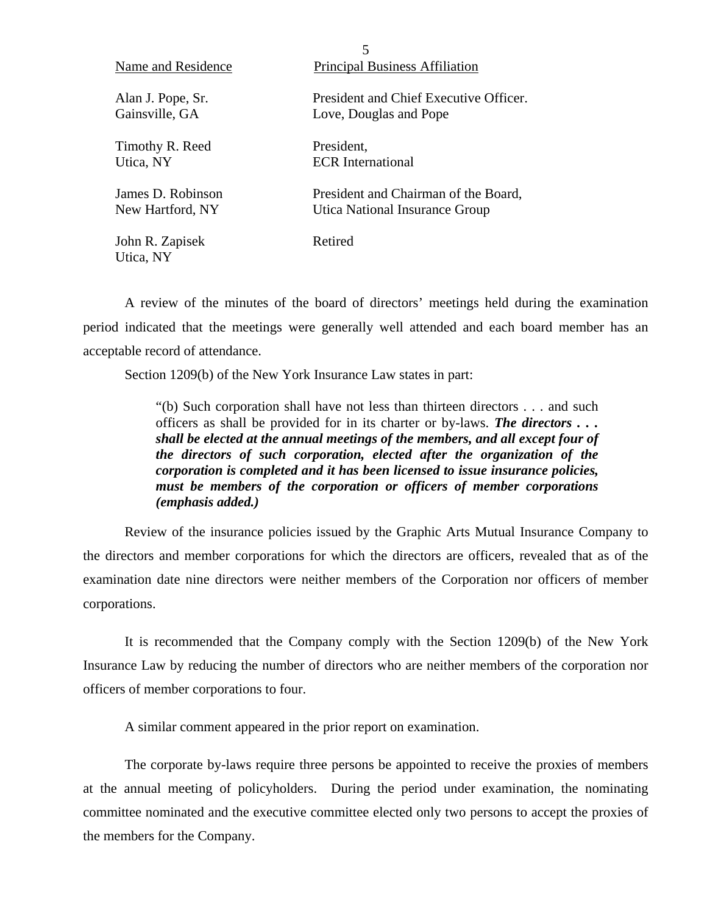| Name and Residence           | <b>Principal Business Affiliation</b>  |
|------------------------------|----------------------------------------|
| Alan J. Pope, Sr.            | President and Chief Executive Officer. |
| Gainsville, GA               | Love, Douglas and Pope                 |
| Timothy R. Reed              | President,                             |
| Utica, NY                    | <b>ECR</b> International               |
| James D. Robinson            | President and Chairman of the Board,   |
| New Hartford, NY             | Utica National Insurance Group         |
| John R. Zapisek<br>Utica, NY | Retired                                |

A review of the minutes of the board of directors' meetings held during the examination period indicated that the meetings were generally well attended and each board member has an acceptable record of attendance.

 $\mathbf{r}$ 

Section 1209(b) of the New York Insurance Law states in part:

"(b) Such corporation shall have not less than thirteen directors . . . and such officers as shall be provided for in its charter or by-laws. *The directors . . . shall be elected at the annual meetings of the members, and all except four of the directors of such corporation, elected after the organization of the corporation is completed and it has been licensed to issue insurance policies, must be members of the corporation or officers of member corporations (emphasis added.)* 

Review of the insurance policies issued by the Graphic Arts Mutual Insurance Company to the directors and member corporations for which the directors are officers, revealed that as of the examination date nine directors were neither members of the Corporation nor officers of member corporations.

It is recommended that the Company comply with the Section 1209(b) of the New York Insurance Law by reducing the number of directors who are neither members of the corporation nor officers of member corporations to four.

A similar comment appeared in the prior report on examination.

The corporate by-laws require three persons be appointed to receive the proxies of members at the annual meeting of policyholders. During the period under examination, the nominating committee nominated and the executive committee elected only two persons to accept the proxies of the members for the Company.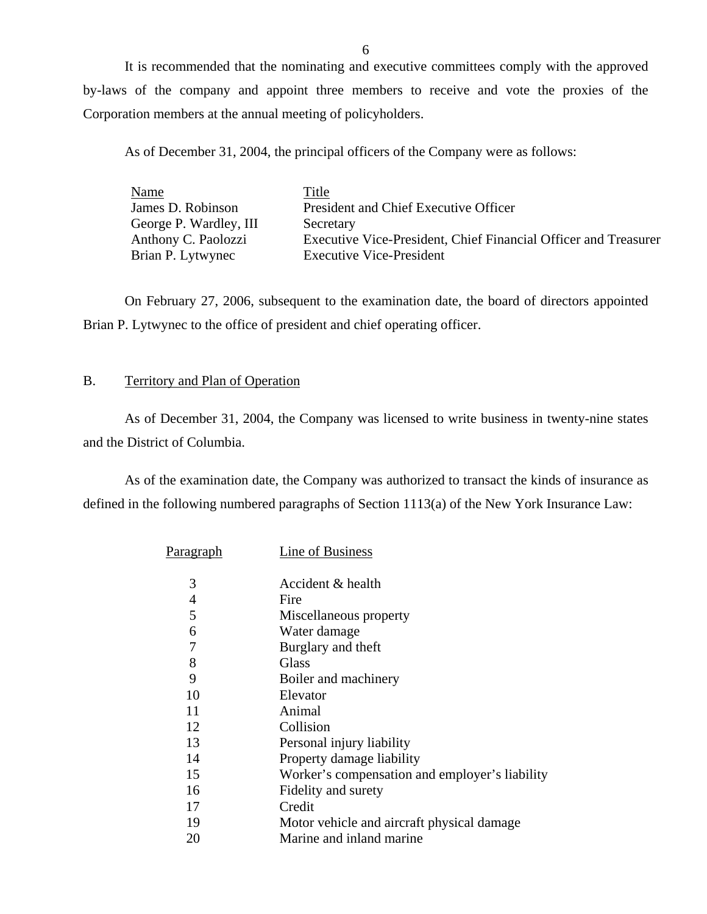It is recommended that the nominating and executive committees comply with the approved by-laws of the company and appoint three members to receive and vote the proxies of the Corporation members at the annual meeting of policyholders.

As of December 31, 2004, the principal officers of the Company were as follows:

| Name                   | Title                                                           |
|------------------------|-----------------------------------------------------------------|
| James D. Robinson      | President and Chief Executive Officer                           |
| George P. Wardley, III | Secretary                                                       |
| Anthony C. Paolozzi    | Executive Vice-President, Chief Financial Officer and Treasurer |
| Brian P. Lytwynec      | <b>Executive Vice-President</b>                                 |

On February 27, 2006, subsequent to the examination date, the board of directors appointed Brian P. Lytwynec to the office of president and chief operating officer.

### B. Territory and Plan of Operation

As of December 31, 2004, the Company was licensed to write business in twenty-nine states and the District of Columbia.

As of the examination date, the Company was authorized to transact the kinds of insurance as defined in the following numbered paragraphs of Section 1113(a) of the New York Insurance Law:

| Paragraph      | Line of Business                               |
|----------------|------------------------------------------------|
| 3              | Accident & health                              |
| $\overline{4}$ | Fire                                           |
| 5              | Miscellaneous property                         |
| 6              | Water damage                                   |
| 7              | Burglary and theft                             |
| 8              | Glass                                          |
| 9              | Boiler and machinery                           |
| 10             | Elevator                                       |
| 11             | Animal                                         |
| 12             | Collision                                      |
| 13             | Personal injury liability                      |
| 14             | Property damage liability                      |
| 15             | Worker's compensation and employer's liability |
| 16             | Fidelity and surety                            |
| 17             | Credit                                         |
| 19             | Motor vehicle and aircraft physical damage     |
| 20             | Marine and inland marine                       |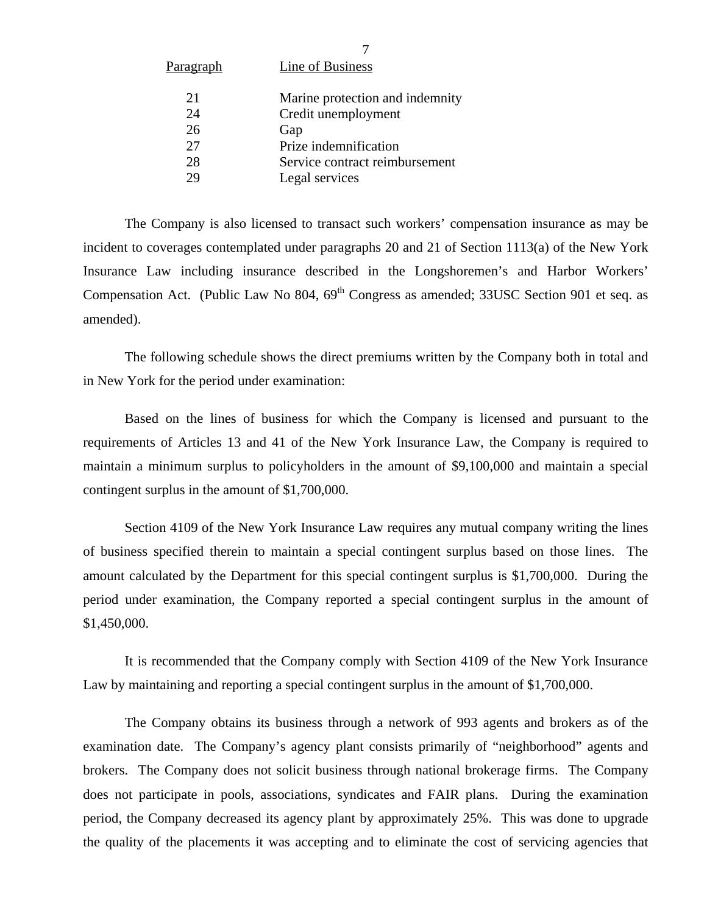| <u>Paragraph</u> | <b>Line of Business</b>         |
|------------------|---------------------------------|
| 21               | Marine protection and indemnity |
| 24               | Credit unemployment             |
| 26               | Gap                             |
| 27               | Prize indemnification           |
| 28               | Service contract reimbursement  |
| 29               | Legal services                  |
|                  |                                 |

The Company is also licensed to transact such workers' compensation insurance as may be incident to coverages contemplated under paragraphs 20 and 21 of Section 1113(a) of the New York Insurance Law including insurance described in the Longshoremen's and Harbor Workers' Compensation Act. (Public Law No 804,  $69<sup>th</sup>$  Congress as amended; 33USC Section 901 et seq. as amended).

The following schedule shows the direct premiums written by the Company both in total and in New York for the period under examination:

Based on the lines of business for which the Company is licensed and pursuant to the requirements of Articles 13 and 41 of the New York Insurance Law, the Company is required to maintain a minimum surplus to policyholders in the amount of \$9,100,000 and maintain a special contingent surplus in the amount of \$1,700,000.

Section 4109 of the New York Insurance Law requires any mutual company writing the lines of business specified therein to maintain a special contingent surplus based on those lines. The amount calculated by the Department for this special contingent surplus is \$1,700,000. During the period under examination, the Company reported a special contingent surplus in the amount of \$1,450,000.

It is recommended that the Company comply with Section 4109 of the New York Insurance Law by maintaining and reporting a special contingent surplus in the amount of \$1,700,000.

The Company obtains its business through a network of 993 agents and brokers as of the examination date. The Company's agency plant consists primarily of "neighborhood" agents and brokers. The Company does not solicit business through national brokerage firms. The Company does not participate in pools, associations, syndicates and FAIR plans. During the examination period, the Company decreased its agency plant by approximately 25%. This was done to upgrade the quality of the placements it was accepting and to eliminate the cost of servicing agencies that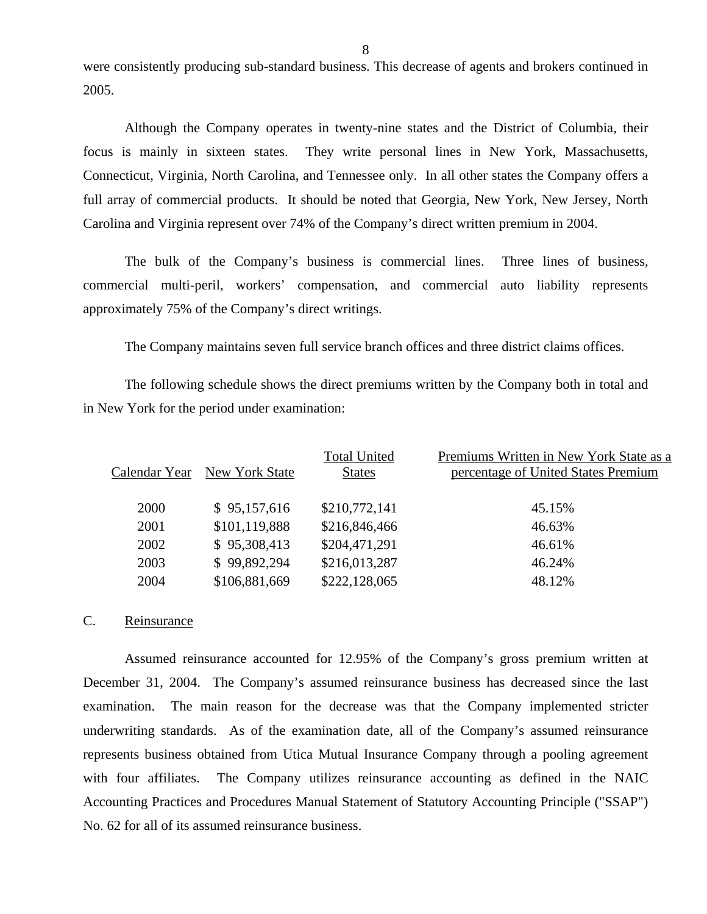were consistently producing sub-standard business. This decrease of agents and brokers continued in 2005.

Although the Company operates in twenty-nine states and the District of Columbia, their focus is mainly in sixteen states. They write personal lines in New York, Massachusetts, Connecticut, Virginia, North Carolina, and Tennessee only. In all other states the Company offers a full array of commercial products. It should be noted that Georgia, New York, New Jersey, North Carolina and Virginia represent over 74% of the Company's direct written premium in 2004.

The bulk of the Company's business is commercial lines. Three lines of business, commercial multi-peril, workers' compensation, and commercial auto liability represents approximately 75% of the Company's direct writings.

The Company maintains seven full service branch offices and three district claims offices.

The following schedule shows the direct premiums written by the Company both in total and in New York for the period under examination:

| Calendar Year | New York State | <b>Total United</b><br><b>States</b> | Premiums Written in New York State as a<br>percentage of United States Premium |
|---------------|----------------|--------------------------------------|--------------------------------------------------------------------------------|
| 2000          | \$95,157,616   | \$210,772,141                        | 45.15%                                                                         |
| 2001          | \$101,119,888  | \$216,846,466                        | 46.63%                                                                         |
| 2002          | \$95,308,413   | \$204,471,291                        | 46.61%                                                                         |
| 2003          | \$99,892,294   | \$216,013,287                        | 46.24%                                                                         |
| 2004          | \$106,881,669  | \$222,128,065                        | 48.12%                                                                         |
|               |                |                                      |                                                                                |

### C. Reinsurance

Assumed reinsurance accounted for 12.95% of the Company's gross premium written at December 31, 2004. The Company's assumed reinsurance business has decreased since the last examination. The main reason for the decrease was that the Company implemented stricter underwriting standards. As of the examination date, all of the Company's assumed reinsurance represents business obtained from Utica Mutual Insurance Company through a pooling agreement with four affiliates. The Company utilizes reinsurance accounting as defined in the NAIC Accounting Practices and Procedures Manual Statement of Statutory Accounting Principle ("SSAP") No. 62 for all of its assumed reinsurance business.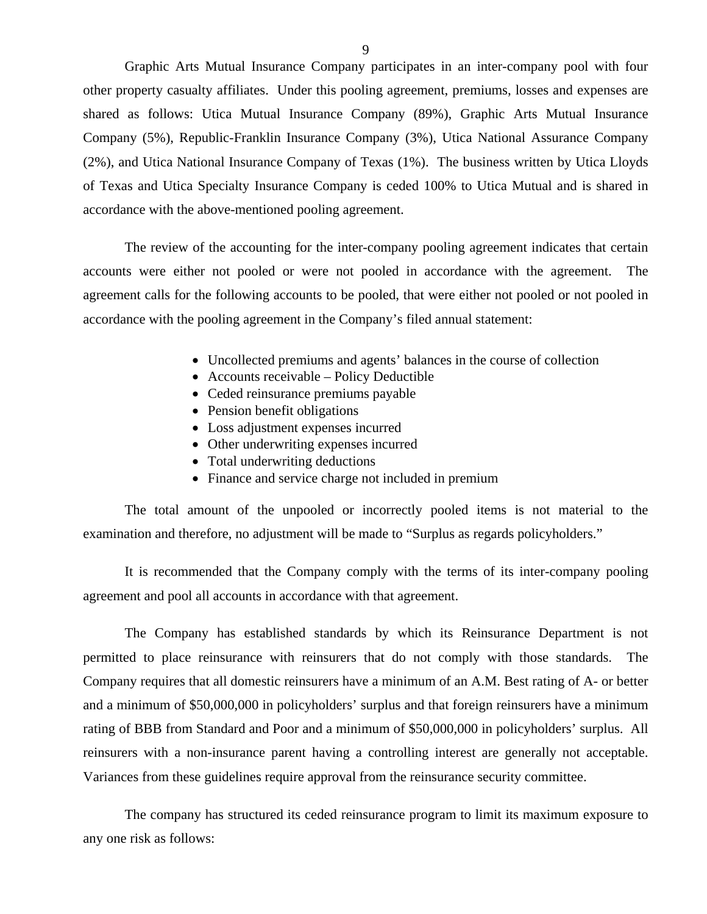Graphic Arts Mutual Insurance Company participates in an inter-company pool with four other property casualty affiliates. Under this pooling agreement, premiums, losses and expenses are shared as follows: Utica Mutual Insurance Company (89%), Graphic Arts Mutual Insurance Company (5%), Republic-Franklin Insurance Company (3%), Utica National Assurance Company (2%), and Utica National Insurance Company of Texas (1%). The business written by Utica Lloyds of Texas and Utica Specialty Insurance Company is ceded 100% to Utica Mutual and is shared in accordance with the above-mentioned pooling agreement.

The review of the accounting for the inter-company pooling agreement indicates that certain accounts were either not pooled or were not pooled in accordance with the agreement. The agreement calls for the following accounts to be pooled, that were either not pooled or not pooled in accordance with the pooling agreement in the Company's filed annual statement:

- Uncollected premiums and agents' balances in the course of collection
- Accounts receivable Policy Deductible
- Ceded reinsurance premiums payable
- Pension benefit obligations
- Loss adjustment expenses incurred
- Other underwriting expenses incurred
- Total underwriting deductions
- Finance and service charge not included in premium

The total amount of the unpooled or incorrectly pooled items is not material to the examination and therefore, no adjustment will be made to "Surplus as regards policyholders."

It is recommended that the Company comply with the terms of its inter-company pooling agreement and pool all accounts in accordance with that agreement.

The Company has established standards by which its Reinsurance Department is not permitted to place reinsurance with reinsurers that do not comply with those standards. The Company requires that all domestic reinsurers have a minimum of an A.M. Best rating of A- or better and a minimum of \$50,000,000 in policyholders' surplus and that foreign reinsurers have a minimum rating of BBB from Standard and Poor and a minimum of \$50,000,000 in policyholders' surplus. All reinsurers with a non-insurance parent having a controlling interest are generally not acceptable. Variances from these guidelines require approval from the reinsurance security committee.

The company has structured its ceded reinsurance program to limit its maximum exposure to any one risk as follows: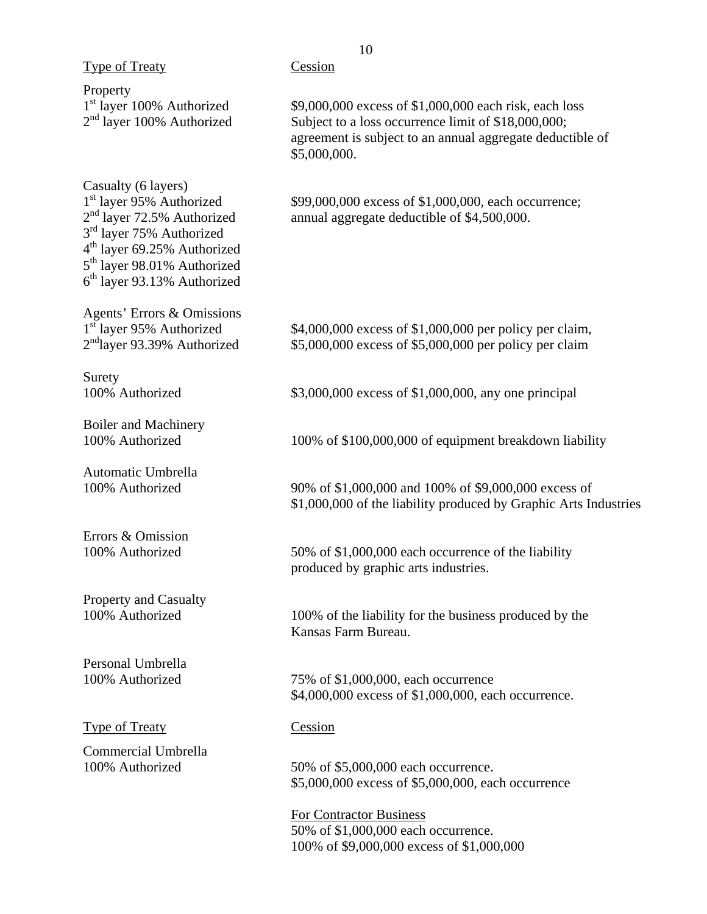|                                                                                                                                                                                                                                                                                | ΙV                                                                                                                                                                                         |
|--------------------------------------------------------------------------------------------------------------------------------------------------------------------------------------------------------------------------------------------------------------------------------|--------------------------------------------------------------------------------------------------------------------------------------------------------------------------------------------|
| <b>Type of Treaty</b>                                                                                                                                                                                                                                                          | Cession                                                                                                                                                                                    |
| Property<br>1 <sup>st</sup> layer 100% Authorized<br>$2nd$ layer 100% Authorized                                                                                                                                                                                               | \$9,000,000 excess of \$1,000,000 each risk, each loss<br>Subject to a loss occurrence limit of \$18,000,000;<br>agreement is subject to an annual aggregate deductible of<br>\$5,000,000. |
| Casualty (6 layers)<br>1 <sup>st</sup> layer 95% Authorized<br>2 <sup>nd</sup> layer 72.5% Authorized<br>3 <sup>rd</sup> layer 75% Authorized<br>4 <sup>th</sup> layer 69.25% Authorized<br>5 <sup>th</sup> layer 98.01% Authorized<br>6 <sup>th</sup> layer 93.13% Authorized | \$99,000,000 excess of \$1,000,000, each occurrence;<br>annual aggregate deductible of \$4,500,000.                                                                                        |
| Agents' Errors & Omissions<br>1 <sup>st</sup> layer 95% Authorized<br>$2nd$ layer 93.39% Authorized                                                                                                                                                                            | \$4,000,000 excess of \$1,000,000 per policy per claim,<br>\$5,000,000 excess of \$5,000,000 per policy per claim                                                                          |
| Surety<br>100% Authorized                                                                                                                                                                                                                                                      | \$3,000,000 excess of \$1,000,000, any one principal                                                                                                                                       |
| <b>Boiler and Machinery</b><br>100% Authorized                                                                                                                                                                                                                                 | 100% of \$100,000,000 of equipment breakdown liability                                                                                                                                     |
| Automatic Umbrella<br>100% Authorized                                                                                                                                                                                                                                          | 90% of \$1,000,000 and 100% of \$9,000,000 excess of<br>\$1,000,000 of the liability produced by Graphic Arts Industries                                                                   |
| Errors & Omission<br>100% Authorized                                                                                                                                                                                                                                           | 50% of \$1,000,000 each occurrence of the liability<br>produced by graphic arts industries.                                                                                                |
| <b>Property and Casualty</b><br>100% Authorized                                                                                                                                                                                                                                | 100% of the liability for the business produced by the<br>Kansas Farm Bureau.                                                                                                              |
| Personal Umbrella<br>100% Authorized                                                                                                                                                                                                                                           | 75% of \$1,000,000, each occurrence<br>\$4,000,000 excess of \$1,000,000, each occurrence.                                                                                                 |
| <b>Type of Treaty</b>                                                                                                                                                                                                                                                          | Cession                                                                                                                                                                                    |
| Commercial Umbrella<br>100% Authorized                                                                                                                                                                                                                                         | 50% of \$5,000,000 each occurrence.<br>\$5,000,000 excess of \$5,000,000, each occurrence                                                                                                  |
|                                                                                                                                                                                                                                                                                | For Contractor Business<br>50% of \$1,000,000 each occurrence.<br>100% of \$9,000,000 excess of \$1,000,000                                                                                |

# 10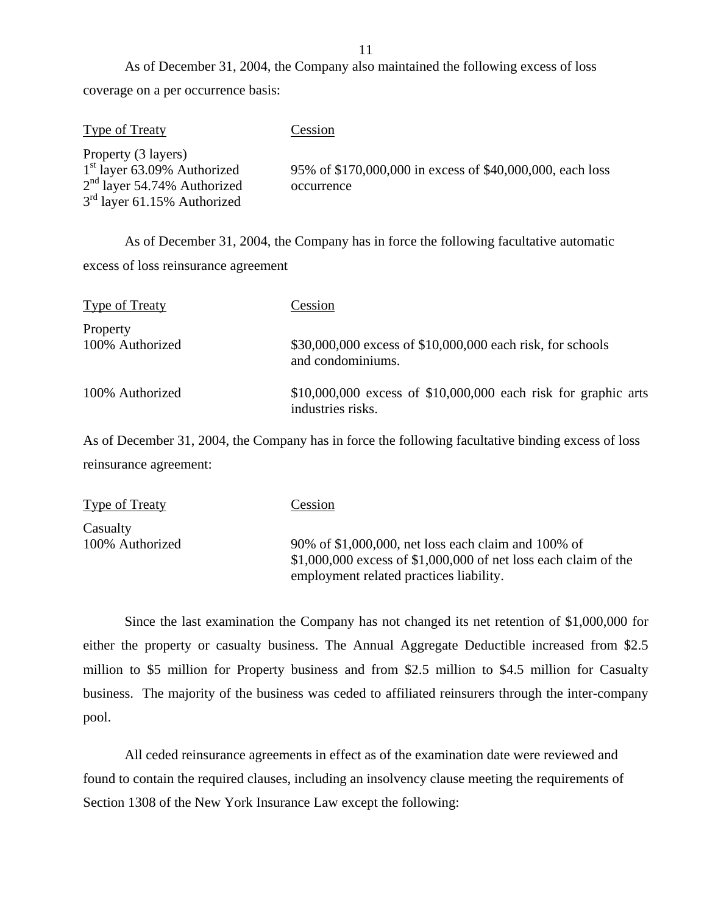As of December 31, 2004, the Company also maintained the following excess of loss coverage on a per occurrence basis:

| <b>Type of Treaty</b>                                          | Cession                                                                 |
|----------------------------------------------------------------|-------------------------------------------------------------------------|
| Property (3 layers)                                            |                                                                         |
| $1st$ layer 63.09% Authorized<br>$2nd$ layer 54.74% Authorized | 95% of \$170,000,000 in excess of \$40,000,000, each loss<br>occurrence |
| $3rd$ layer 61.15% Authorized                                  |                                                                         |

As of December 31, 2004, the Company has in force the following facultative automatic excess of loss reinsurance agreement

| <b>Type of Treaty</b>       | Cession                                                                               |
|-----------------------------|---------------------------------------------------------------------------------------|
| Property<br>100% Authorized | \$30,000,000 excess of \$10,000,000 each risk, for schools<br>and condominiums.       |
| 100% Authorized             | $$10,000,000$ excess of $$10,000,000$ each risk for graphic arts<br>industries risks. |

As of December 31, 2004, the Company has in force the following facultative binding excess of loss reinsurance agreement:

| <b>Type of Treaty</b>       | Cession                                                                                                                                                             |
|-----------------------------|---------------------------------------------------------------------------------------------------------------------------------------------------------------------|
| Casualty<br>100% Authorized | 90% of \$1,000,000, net loss each claim and 100% of<br>$$1,000,000$ excess of $$1,000,000$ of net loss each claim of the<br>employment related practices liability. |

Since the last examination the Company has not changed its net retention of \$1,000,000 for either the property or casualty business. The Annual Aggregate Deductible increased from \$2.5 million to \$5 million for Property business and from \$2.5 million to \$4.5 million for Casualty business. The majority of the business was ceded to affiliated reinsurers through the inter-company pool.

All ceded reinsurance agreements in effect as of the examination date were reviewed and found to contain the required clauses, including an insolvency clause meeting the requirements of Section 1308 of the New York Insurance Law except the following:

11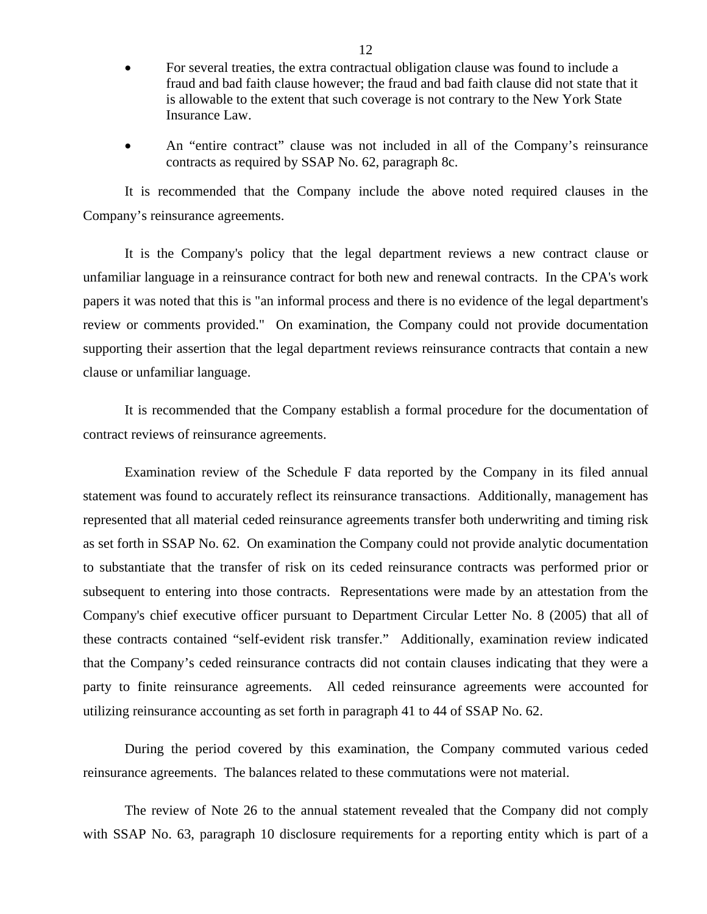- For several treaties, the extra contractual obligation clause was found to include a fraud and bad faith clause however; the fraud and bad faith clause did not state that it is allowable to the extent that such coverage is not contrary to the New York State Insurance Law.
- An "entire contract" clause was not included in all of the Company's reinsurance contracts as required by SSAP No. 62, paragraph 8c.

It is recommended that the Company include the above noted required clauses in the Company's reinsurance agreements.

It is the Company's policy that the legal department reviews a new contract clause or unfamiliar language in a reinsurance contract for both new and renewal contracts. In the CPA's work papers it was noted that this is "an informal process and there is no evidence of the legal department's review or comments provided." On examination, the Company could not provide documentation supporting their assertion that the legal department reviews reinsurance contracts that contain a new clause or unfamiliar language.

It is recommended that the Company establish a formal procedure for the documentation of contract reviews of reinsurance agreements.

Examination review of the Schedule F data reported by the Company in its filed annual statement was found to accurately reflect its reinsurance transactions. Additionally, management has represented that all material ceded reinsurance agreements transfer both underwriting and timing risk as set forth in SSAP No. 62. On examination the Company could not provide analytic documentation to substantiate that the transfer of risk on its ceded reinsurance contracts was performed prior or subsequent to entering into those contracts. Representations were made by an attestation from the Company's chief executive officer pursuant to Department Circular Letter No. 8 (2005) that all of these contracts contained "self-evident risk transfer." Additionally, examination review indicated that the Company's ceded reinsurance contracts did not contain clauses indicating that they were a party to finite reinsurance agreements. All ceded reinsurance agreements were accounted for utilizing reinsurance accounting as set forth in paragraph 41 to 44 of SSAP No. 62.

During the period covered by this examination, the Company commuted various ceded reinsurance agreements. The balances related to these commutations were not material.

The review of Note 26 to the annual statement revealed that the Company did not comply with SSAP No. 63, paragraph 10 disclosure requirements for a reporting entity which is part of a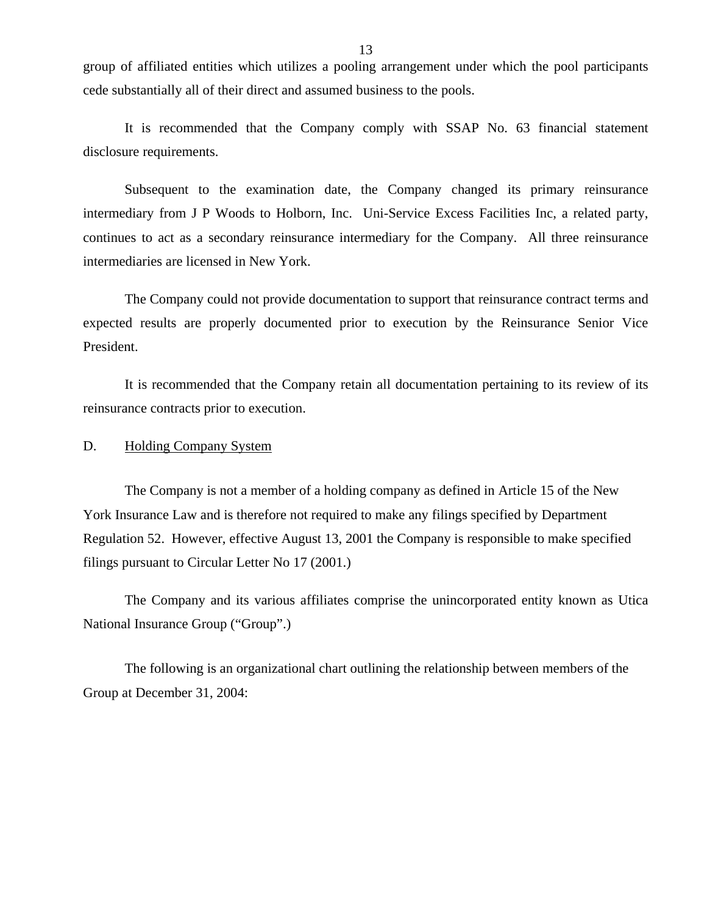group of affiliated entities which utilizes a pooling arrangement under which the pool participants cede substantially all of their direct and assumed business to the pools.

It is recommended that the Company comply with SSAP No. 63 financial statement disclosure requirements.

Subsequent to the examination date, the Company changed its primary reinsurance intermediary from J P Woods to Holborn, Inc. Uni-Service Excess Facilities Inc, a related party, continues to act as a secondary reinsurance intermediary for the Company. All three reinsurance intermediaries are licensed in New York.

The Company could not provide documentation to support that reinsurance contract terms and expected results are properly documented prior to execution by the Reinsurance Senior Vice President.

It is recommended that the Company retain all documentation pertaining to its review of its reinsurance contracts prior to execution.

D. Holding Company System

The Company is not a member of a holding company as defined in Article 15 of the New York Insurance Law and is therefore not required to make any filings specified by Department Regulation 52. However, effective August 13, 2001 the Company is responsible to make specified filings pursuant to Circular Letter No 17 (2001.)

The Company and its various affiliates comprise the unincorporated entity known as Utica National Insurance Group ("Group".)

The following is an organizational chart outlining the relationship between members of the Group at December 31, 2004: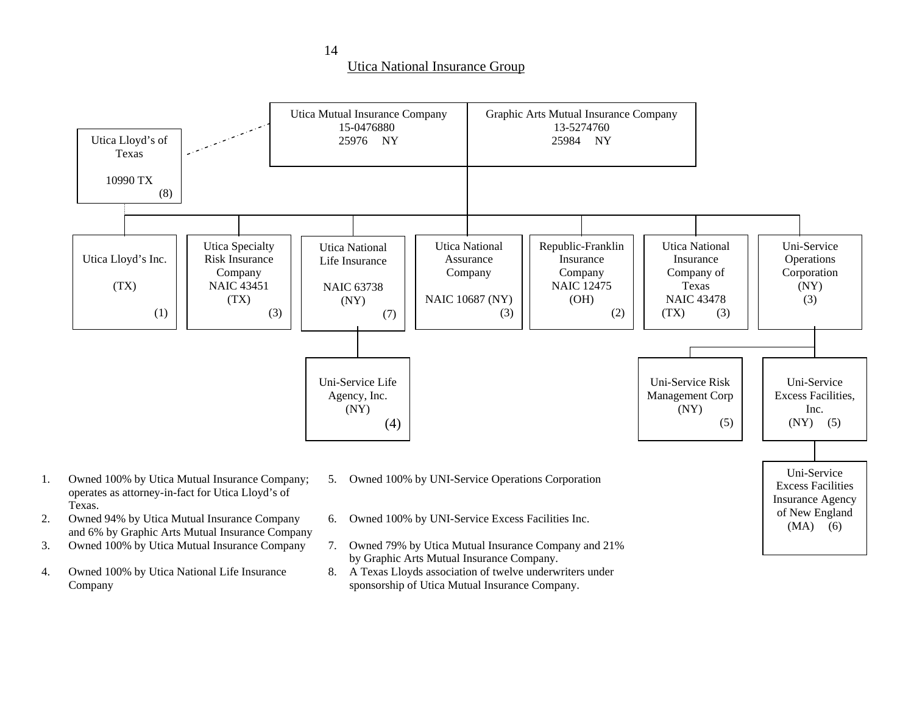Utica National Insurance Group



- 3.
- 

1.

2.

- 7. Owned 79% by Utica Mutual Insurance Company and 21%
	- by Graphic Arts Mutual Insurance Company.
- 4. Owned 100% by Utica National Life Insurance 8. A Texas Lloyds association of twelve underwriters under Company sponsorship of Utica Mutual Insurance Company.

14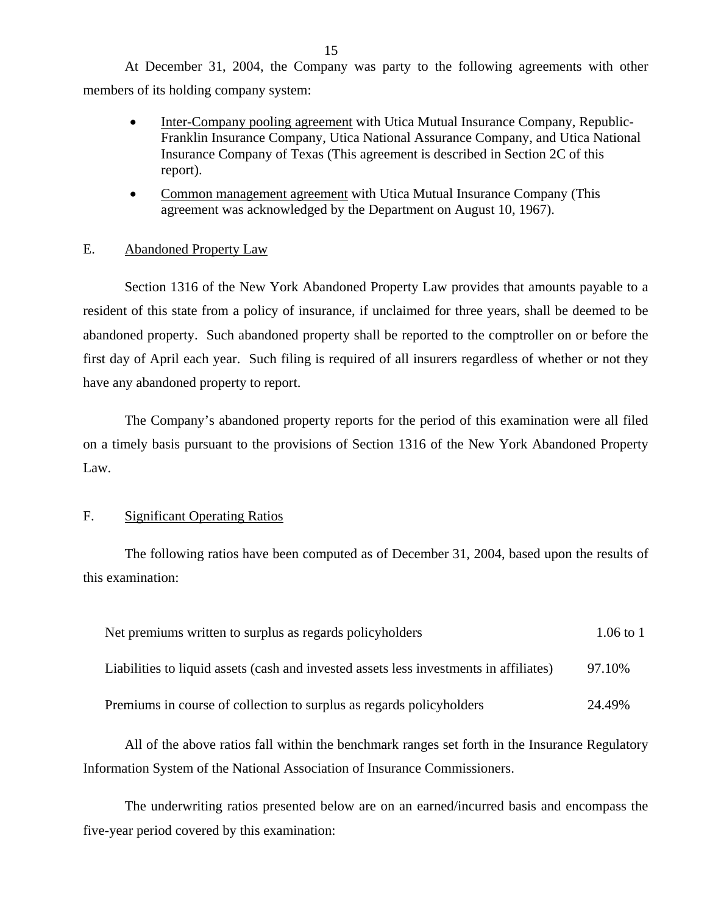At December 31, 2004, the Company was party to the following agreements with other members of its holding company system:

- Inter-Company pooling agreement with Utica Mutual Insurance Company, Republic-Franklin Insurance Company, Utica National Assurance Company, and Utica National Insurance Company of Texas (This agreement is described in Section 2C of this report).
- Common management agreement with Utica Mutual Insurance Company (This agreement was acknowledged by the Department on August 10, 1967).

### E. Abandoned Property Law

Section 1316 of the New York Abandoned Property Law provides that amounts payable to a resident of this state from a policy of insurance, if unclaimed for three years, shall be deemed to be abandoned property. Such abandoned property shall be reported to the comptroller on or before the first day of April each year. Such filing is required of all insurers regardless of whether or not they have any abandoned property to report.

The Company's abandoned property reports for the period of this examination were all filed on a timely basis pursuant to the provisions of Section 1316 of the New York Abandoned Property Law.

### F. Significant Operating Ratios

The following ratios have been computed as of December 31, 2004, based upon the results of this examination:

| Net premiums written to surplus as regards policyholders                               | $1.06$ to 1 |
|----------------------------------------------------------------------------------------|-------------|
| Liabilities to liquid assets (cash and invested assets less investments in affiliates) | 97.10%      |
| Premiums in course of collection to surplus as regards policyholders                   | 24.49%      |

All of the above ratios fall within the benchmark ranges set forth in the Insurance Regulatory Information System of the National Association of Insurance Commissioners.

The underwriting ratios presented below are on an earned/incurred basis and encompass the five-year period covered by this examination: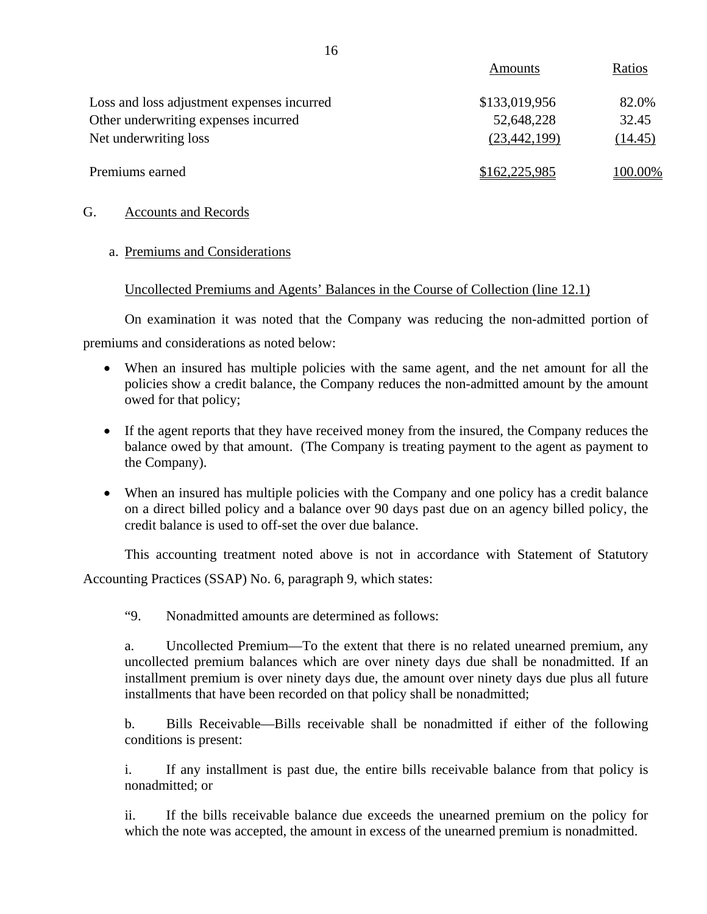|                                            | Amounts        | Ratios  |
|--------------------------------------------|----------------|---------|
| Loss and loss adjustment expenses incurred | \$133,019,956  | 82.0%   |
| Other underwriting expenses incurred       | 52,648,228     | 32.45   |
| Net underwriting loss                      | (23, 442, 199) | (14.45) |
| Premiums earned                            | \$162,225,985  | 100.00% |

### G. Accounts and Records

### a. Premiums and Considerations

### Uncollected Premiums and Agents' Balances in the Course of Collection (line 12.1)

On examination it was noted that the Company was reducing the non-admitted portion of

premiums and considerations as noted below:

- When an insured has multiple policies with the same agent, and the net amount for all the policies show a credit balance, the Company reduces the non-admitted amount by the amount owed for that policy;
- If the agent reports that they have received money from the insured, the Company reduces the balance owed by that amount. (The Company is treating payment to the agent as payment to the Company).
- When an insured has multiple policies with the Company and one policy has a credit balance on a direct billed policy and a balance over 90 days past due on an agency billed policy, the credit balance is used to off-set the over due balance.

This accounting treatment noted above is not in accordance with Statement of Statutory Accounting Practices (SSAP) No. 6, paragraph 9, which states:

"9. Nonadmitted amounts are determined as follows:

a. Uncollected Premium—To the extent that there is no related unearned premium, any uncollected premium balances which are over ninety days due shall be nonadmitted. If an installment premium is over ninety days due, the amount over ninety days due plus all future installments that have been recorded on that policy shall be nonadmitted;

b. Bills Receivable—Bills receivable shall be nonadmitted if either of the following conditions is present:

i. If any installment is past due, the entire bills receivable balance from that policy is nonadmitted; or

ii. If the bills receivable balance due exceeds the unearned premium on the policy for which the note was accepted, the amount in excess of the unearned premium is nonadmitted.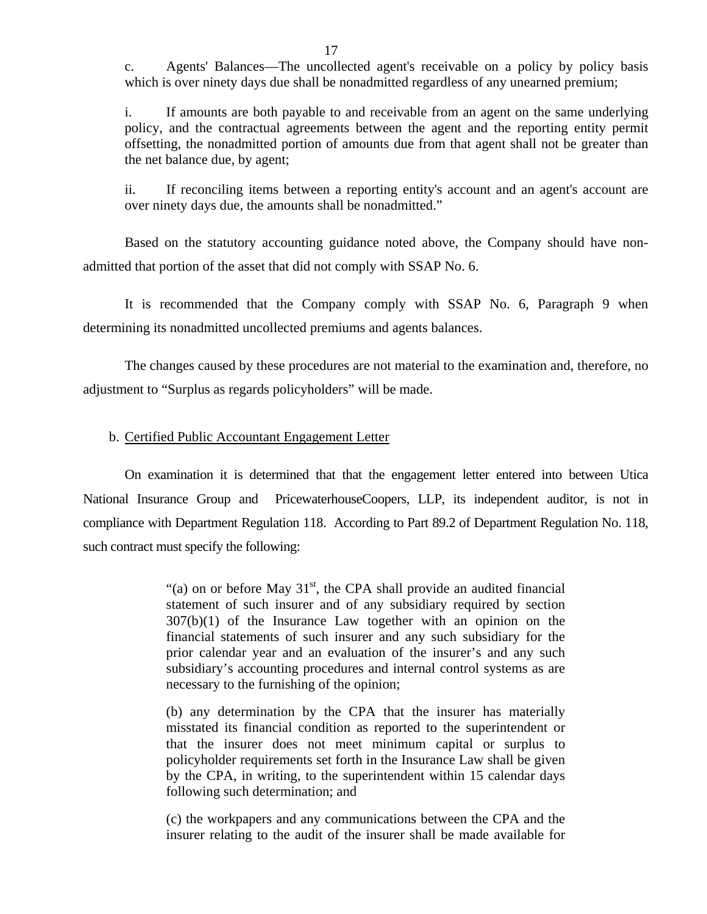c. Agents' Balances—The uncollected agent's receivable on a policy by policy basis which is over ninety days due shall be nonadmitted regardless of any unearned premium;

i. If amounts are both payable to and receivable from an agent on the same underlying policy, and the contractual agreements between the agent and the reporting entity permit offsetting, the nonadmitted portion of amounts due from that agent shall not be greater than the net balance due, by agent;

ii. If reconciling items between a reporting entity's account and an agent's account are over ninety days due, the amounts shall be nonadmitted."

Based on the statutory accounting guidance noted above, the Company should have nonadmitted that portion of the asset that did not comply with SSAP No. 6.

It is recommended that the Company comply with SSAP No. 6, Paragraph 9 when determining its nonadmitted uncollected premiums and agents balances.

The changes caused by these procedures are not material to the examination and, therefore, no adjustment to "Surplus as regards policyholders" will be made.

### b. Certified Public Accountant Engagement Letter

On examination it is determined that that the engagement letter entered into between Utica National Insurance Group and PricewaterhouseCoopers, LLP, its independent auditor, is not in compliance with Department Regulation 118. According to Part 89.2 of Department Regulation No. 118, such contract must specify the following:

> "(a) on or before May  $31<sup>st</sup>$ , the CPA shall provide an audited financial statement of such insurer and of any subsidiary required by section 307(b)(1) of the Insurance Law together with an opinion on the financial statements of such insurer and any such subsidiary for the prior calendar year and an evaluation of the insurer's and any such subsidiary's accounting procedures and internal control systems as are necessary to the furnishing of the opinion;

> (b) any determination by the CPA that the insurer has materially misstated its financial condition as reported to the superintendent or that the insurer does not meet minimum capital or surplus to policyholder requirements set forth in the Insurance Law shall be given by the CPA, in writing, to the superintendent within 15 calendar days following such determination; and

> (c) the workpapers and any communications between the CPA and the insurer relating to the audit of the insurer shall be made available for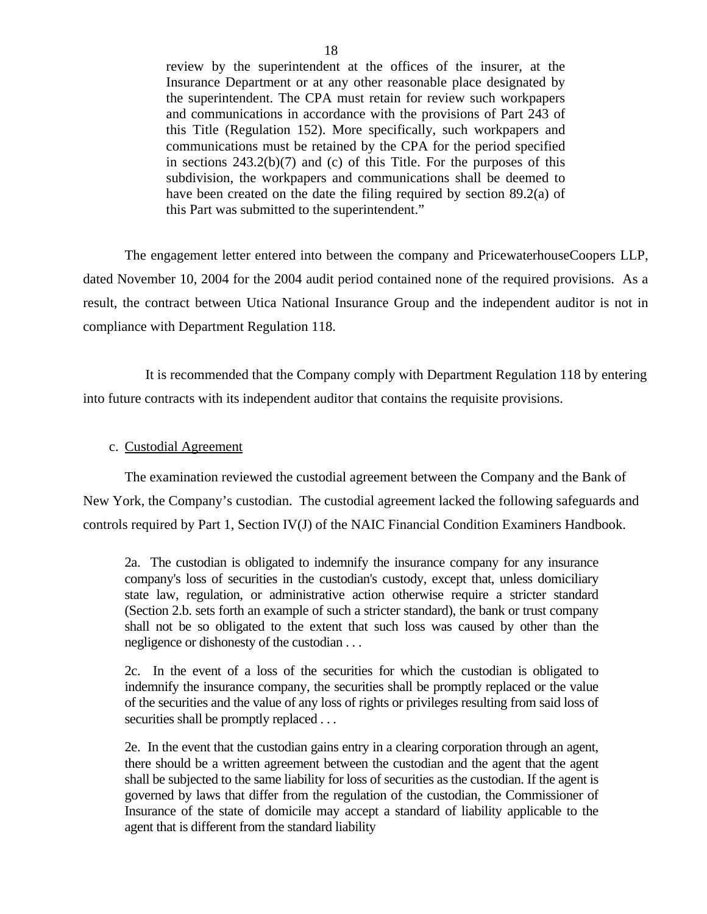review by the superintendent at the offices of the insurer, at the Insurance Department or at any other reasonable place designated by the superintendent. The CPA must retain for review such workpapers and communications in accordance with the provisions of Part 243 of this Title (Regulation 152). More specifically, such workpapers and communications must be retained by the CPA for the period specified in sections  $243.2(b)(7)$  and (c) of this Title. For the purposes of this subdivision, the workpapers and communications shall be deemed to have been created on the date the filing required by section 89.2(a) of this Part was submitted to the superintendent."

The engagement letter entered into between the company and PricewaterhouseCoopers LLP, dated November 10, 2004 for the 2004 audit period contained none of the required provisions. As a result, the contract between Utica National Insurance Group and the independent auditor is not in compliance with Department Regulation 118.

It is recommended that the Company comply with Department Regulation 118 by entering into future contracts with its independent auditor that contains the requisite provisions.

### c. Custodial Agreement

The examination reviewed the custodial agreement between the Company and the Bank of New York, the Company's custodian. The custodial agreement lacked the following safeguards and controls required by Part 1, Section IV(J) of the NAIC Financial Condition Examiners Handbook.

2a. The custodian is obligated to indemnify the insurance company for any insurance company's loss of securities in the custodian's custody, except that, unless domiciliary state law, regulation, or administrative action otherwise require a stricter standard (Section 2.b. sets forth an example of such a stricter standard), the bank or trust company shall not be so obligated to the extent that such loss was caused by other than the negligence or dishonesty of the custodian . . .

2c. In the event of a loss of the securities for which the custodian is obligated to indemnify the insurance company, the securities shall be promptly replaced or the value of the securities and the value of any loss of rights or privileges resulting from said loss of securities shall be promptly replaced . . .

2e. In the event that the custodian gains entry in a clearing corporation through an agent, there should be a written agreement between the custodian and the agent that the agent shall be subjected to the same liability for loss of securities as the custodian. If the agent is governed by laws that differ from the regulation of the custodian, the Commissioner of Insurance of the state of domicile may accept a standard of liability applicable to the agent that is different from the standard liability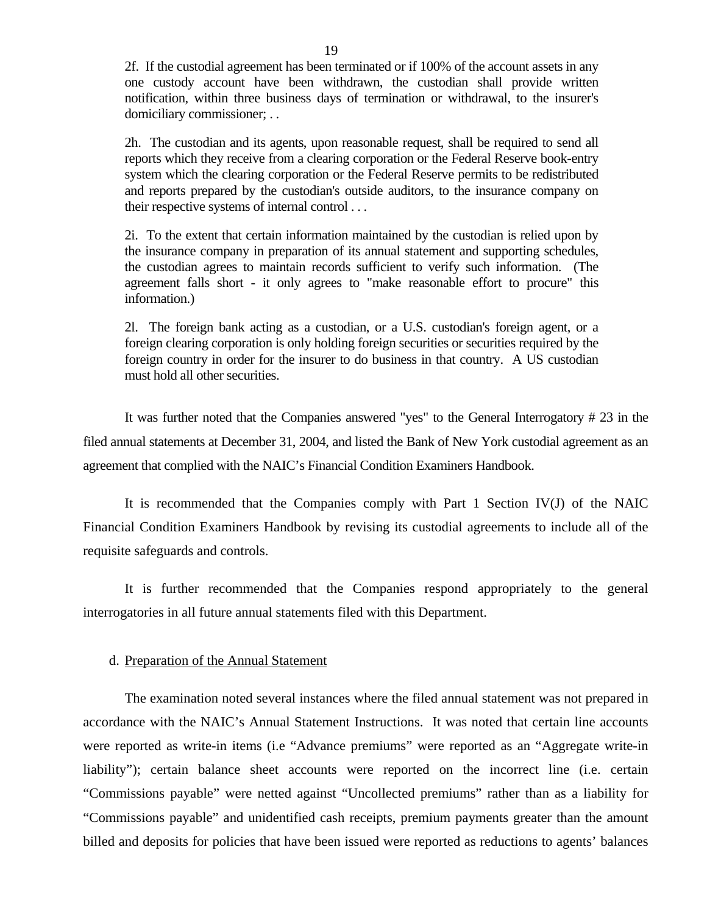2f. If the custodial agreement has been terminated or if 100% of the account assets in any one custody account have been withdrawn, the custodian shall provide written notification, within three business days of termination or withdrawal, to the insurer's domiciliary commissioner; . .

2h. The custodian and its agents, upon reasonable request, shall be required to send all reports which they receive from a clearing corporation or the Federal Reserve book-entry system which the clearing corporation or the Federal Reserve permits to be redistributed and reports prepared by the custodian's outside auditors, to the insurance company on their respective systems of internal control . . .

2i. To the extent that certain information maintained by the custodian is relied upon by the insurance company in preparation of its annual statement and supporting schedules, the custodian agrees to maintain records sufficient to verify such information. (The agreement falls short - it only agrees to "make reasonable effort to procure" this information.)

2l. The foreign bank acting as a custodian, or a U.S. custodian's foreign agent, or a foreign clearing corporation is only holding foreign securities or securities required by the foreign country in order for the insurer to do business in that country. A US custodian must hold all other securities.

It was further noted that the Companies answered "yes" to the General Interrogatory # 23 in the filed annual statements at December 31, 2004, and listed the Bank of New York custodial agreement as an agreement that complied with the NAIC's Financial Condition Examiners Handbook.

It is recommended that the Companies comply with Part 1 Section IV(J) of the NAIC Financial Condition Examiners Handbook by revising its custodial agreements to include all of the requisite safeguards and controls.

It is further recommended that the Companies respond appropriately to the general interrogatories in all future annual statements filed with this Department.

### d. Preparation of the Annual Statement

The examination noted several instances where the filed annual statement was not prepared in accordance with the NAIC's Annual Statement Instructions. It was noted that certain line accounts were reported as write-in items (i.e "Advance premiums" were reported as an "Aggregate write-in liability"); certain balance sheet accounts were reported on the incorrect line (i.e. certain "Commissions payable" were netted against "Uncollected premiums" rather than as a liability for "Commissions payable" and unidentified cash receipts, premium payments greater than the amount billed and deposits for policies that have been issued were reported as reductions to agents' balances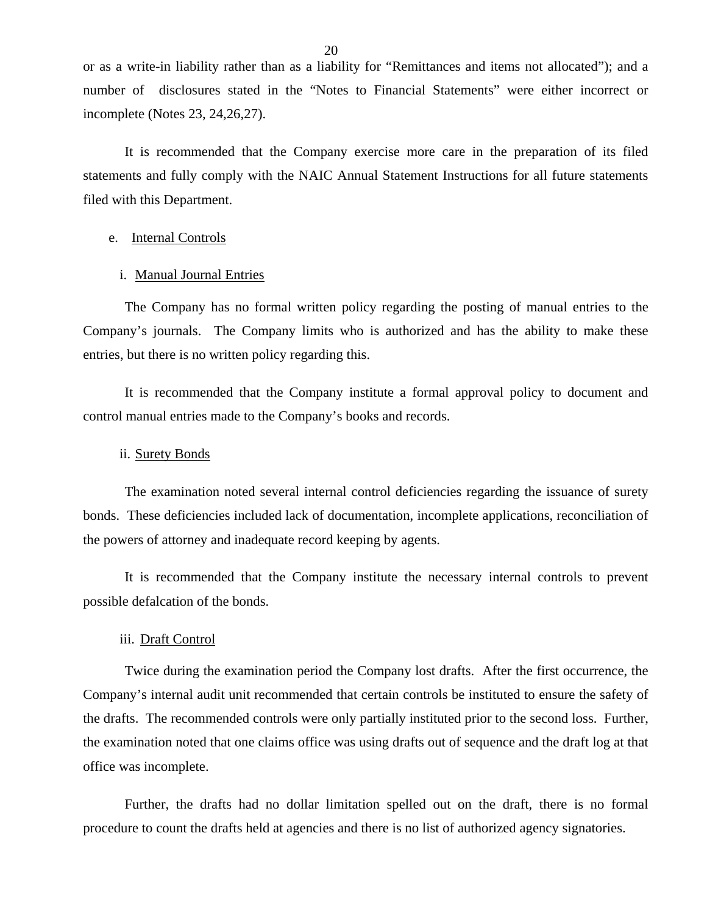or as a write-in liability rather than as a liability for "Remittances and items not allocated"); and a number of disclosures stated in the "Notes to Financial Statements" were either incorrect or incomplete (Notes 23, 24,26,27).

It is recommended that the Company exercise more care in the preparation of its filed statements and fully comply with the NAIC Annual Statement Instructions for all future statements filed with this Department.

### e. Internal Controls

### i. Manual Journal Entries

The Company has no formal written policy regarding the posting of manual entries to the Company's journals. The Company limits who is authorized and has the ability to make these entries, but there is no written policy regarding this.

It is recommended that the Company institute a formal approval policy to document and control manual entries made to the Company's books and records.

### ii. Surety Bonds

The examination noted several internal control deficiencies regarding the issuance of surety bonds. These deficiencies included lack of documentation, incomplete applications, reconciliation of the powers of attorney and inadequate record keeping by agents.

It is recommended that the Company institute the necessary internal controls to prevent possible defalcation of the bonds.

### iii. Draft Control

Twice during the examination period the Company lost drafts. After the first occurrence, the Company's internal audit unit recommended that certain controls be instituted to ensure the safety of the drafts. The recommended controls were only partially instituted prior to the second loss. Further, the examination noted that one claims office was using drafts out of sequence and the draft log at that office was incomplete.

Further, the drafts had no dollar limitation spelled out on the draft, there is no formal procedure to count the drafts held at agencies and there is no list of authorized agency signatories.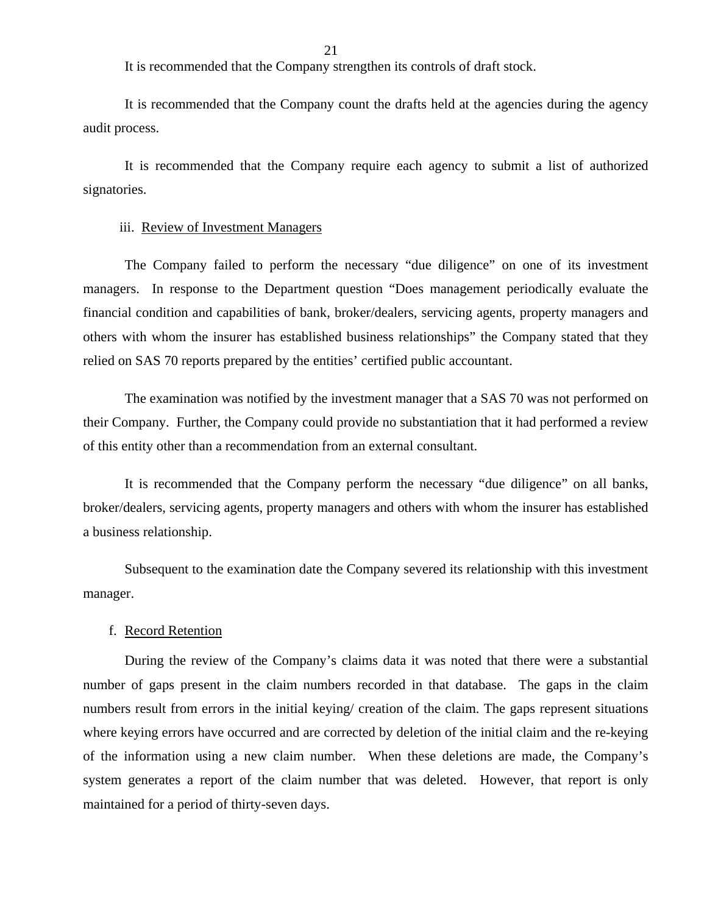It is recommended that the Company strengthen its controls of draft stock.

It is recommended that the Company count the drafts held at the agencies during the agency audit process.

It is recommended that the Company require each agency to submit a list of authorized signatories.

### iii. Review of Investment Managers

The Company failed to perform the necessary "due diligence" on one of its investment managers. In response to the Department question "Does management periodically evaluate the financial condition and capabilities of bank, broker/dealers, servicing agents, property managers and others with whom the insurer has established business relationships" the Company stated that they relied on SAS 70 reports prepared by the entities' certified public accountant.

The examination was notified by the investment manager that a SAS 70 was not performed on their Company. Further, the Company could provide no substantiation that it had performed a review of this entity other than a recommendation from an external consultant.

It is recommended that the Company perform the necessary "due diligence" on all banks, broker/dealers, servicing agents, property managers and others with whom the insurer has established a business relationship.

Subsequent to the examination date the Company severed its relationship with this investment manager.

### f. Record Retention

During the review of the Company's claims data it was noted that there were a substantial number of gaps present in the claim numbers recorded in that database. The gaps in the claim numbers result from errors in the initial keying/ creation of the claim. The gaps represent situations where keying errors have occurred and are corrected by deletion of the initial claim and the re-keying of the information using a new claim number. When these deletions are made, the Company's system generates a report of the claim number that was deleted. However, that report is only maintained for a period of thirty-seven days.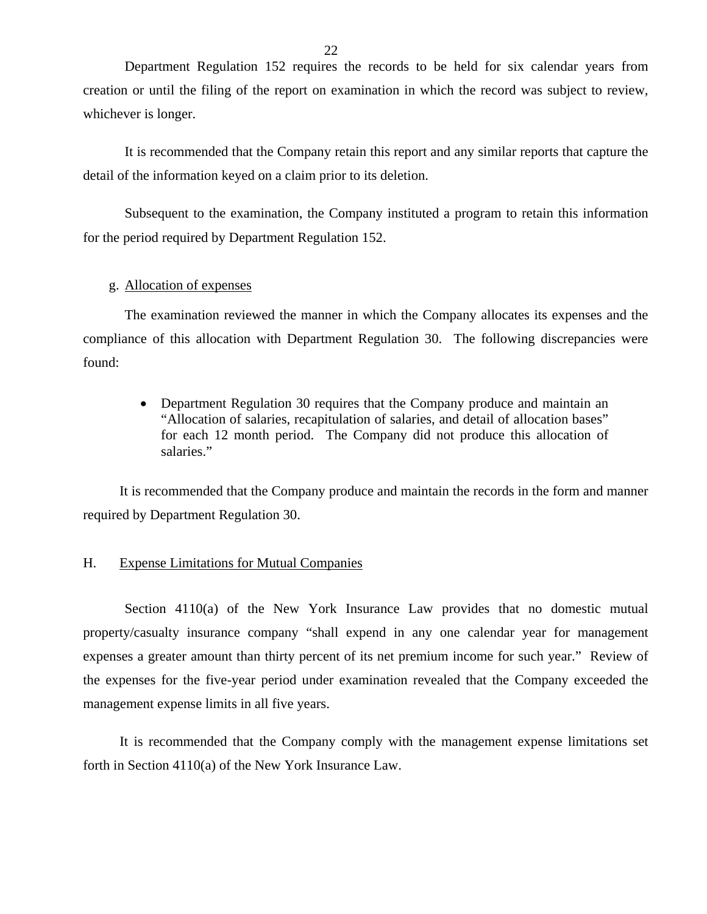Department Regulation 152 requires the records to be held for six calendar years from creation or until the filing of the report on examination in which the record was subject to review, whichever is longer.

It is recommended that the Company retain this report and any similar reports that capture the detail of the information keyed on a claim prior to its deletion.

Subsequent to the examination, the Company instituted a program to retain this information for the period required by Department Regulation 152.

### g. Allocation of expenses

The examination reviewed the manner in which the Company allocates its expenses and the compliance of this allocation with Department Regulation 30. The following discrepancies were found:

> Department Regulation 30 requires that the Company produce and maintain an "Allocation of salaries, recapitulation of salaries, and detail of allocation bases" for each 12 month period. The Company did not produce this allocation of salaries."

It is recommended that the Company produce and maintain the records in the form and manner required by Department Regulation 30.

### H. Expense Limitations for Mutual Companies

Section 4110(a) of the New York Insurance Law provides that no domestic mutual property/casualty insurance company "shall expend in any one calendar year for management expenses a greater amount than thirty percent of its net premium income for such year." Review of the expenses for the five-year period under examination revealed that the Company exceeded the management expense limits in all five years.

It is recommended that the Company comply with the management expense limitations set forth in Section 4110(a) of the New York Insurance Law.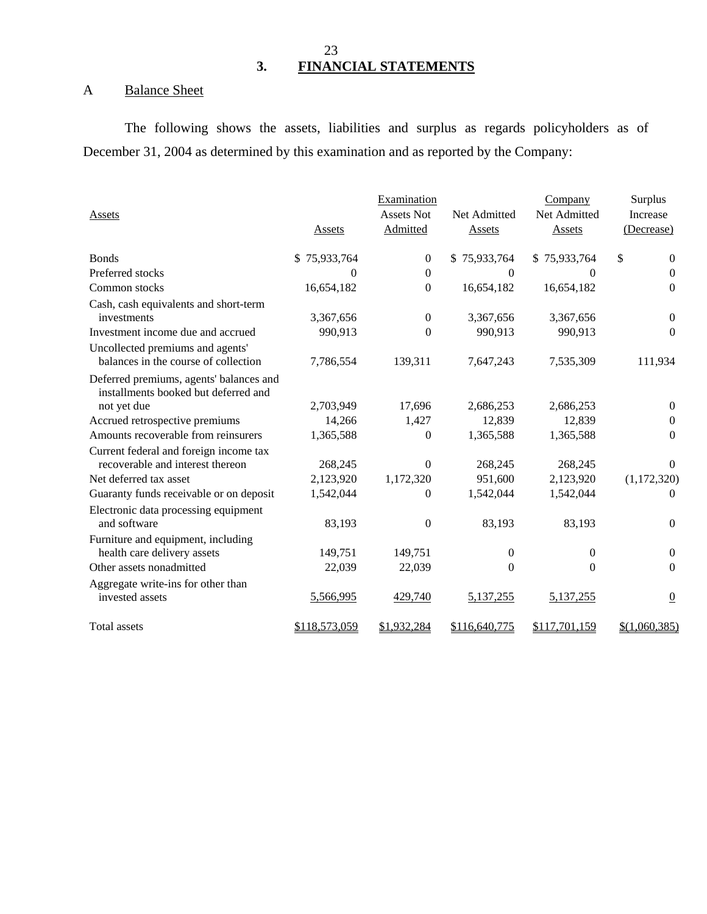## 23 **3. FINANCIAL STATEMENTS**

# A Balance Sheet

The following shows the assets, liabilities and surplus as regards policyholders as of December 31, 2004 as determined by this examination and as reported by the Company:

|                                                                                 |               | Examination       |               | Company       | Surplus            |
|---------------------------------------------------------------------------------|---------------|-------------------|---------------|---------------|--------------------|
| Assets                                                                          |               | <b>Assets Not</b> | Net Admitted  | Net Admitted  | <b>Increase</b>    |
|                                                                                 | Assets        | Admitted          | Assets        | Assets        | (Decrease)         |
| <b>Bonds</b>                                                                    | \$75,933,764  | $\overline{0}$    | \$75,933,764  | \$75,933,764  | \$<br>$\mathbf{0}$ |
| Preferred stocks                                                                | 0             | $\Omega$          | $\Omega$      | $\Omega$      | $\Omega$           |
| Common stocks                                                                   | 16,654,182    | $\theta$          | 16,654,182    | 16,654,182    | $\boldsymbol{0}$   |
| Cash, cash equivalents and short-term<br>investments                            | 3,367,656     | $\overline{0}$    | 3,367,656     | 3,367,656     | $\mathbf{0}$       |
| Investment income due and accrued                                               | 990,913       | $\Omega$          | 990,913       | 990,913       | $\Omega$           |
| Uncollected premiums and agents'                                                |               |                   |               |               |                    |
| balances in the course of collection                                            | 7,786,554     | 139,311           | 7,647,243     | 7,535,309     | 111,934            |
| Deferred premiums, agents' balances and<br>installments booked but deferred and |               |                   |               |               |                    |
| not yet due                                                                     | 2,703,949     | 17,696            | 2,686,253     | 2,686,253     | $\theta$           |
| Accrued retrospective premiums                                                  | 14,266        | 1,427             | 12,839        | 12,839        | $\Omega$           |
| Amounts recoverable from reinsurers                                             | 1,365,588     | $\Omega$          | 1,365,588     | 1,365,588     | $\Omega$           |
| Current federal and foreign income tax<br>recoverable and interest thereon      | 268,245       | $\Omega$          | 268,245       | 268,245       | $\Omega$           |
| Net deferred tax asset                                                          | 2,123,920     | 1,172,320         | 951,600       | 2,123,920     | (1,172,320)        |
| Guaranty funds receivable or on deposit                                         | 1,542,044     | $\Omega$          | 1,542,044     | 1,542,044     | $\Omega$           |
| Electronic data processing equipment                                            |               |                   |               |               |                    |
| and software                                                                    | 83,193        | $\mathbf{0}$      | 83,193        | 83,193        | $\Omega$           |
| Furniture and equipment, including<br>health care delivery assets               | 149,751       | 149,751           | $\mathbf{0}$  | $\theta$      | $\mathbf{0}$       |
| Other assets nonadmitted                                                        | 22,039        | 22,039            | $\mathbf{0}$  | $\theta$      | $\mathbf{0}$       |
| Aggregate write-ins for other than<br>invested assets                           | 5,566,995     | 429,740           | 5,137,255     | 5,137,255     | $\underline{0}$    |
| Total assets                                                                    | \$118,573,059 | \$1,932,284       | \$116,640,775 | \$117,701,159 | \$(1,060,385)      |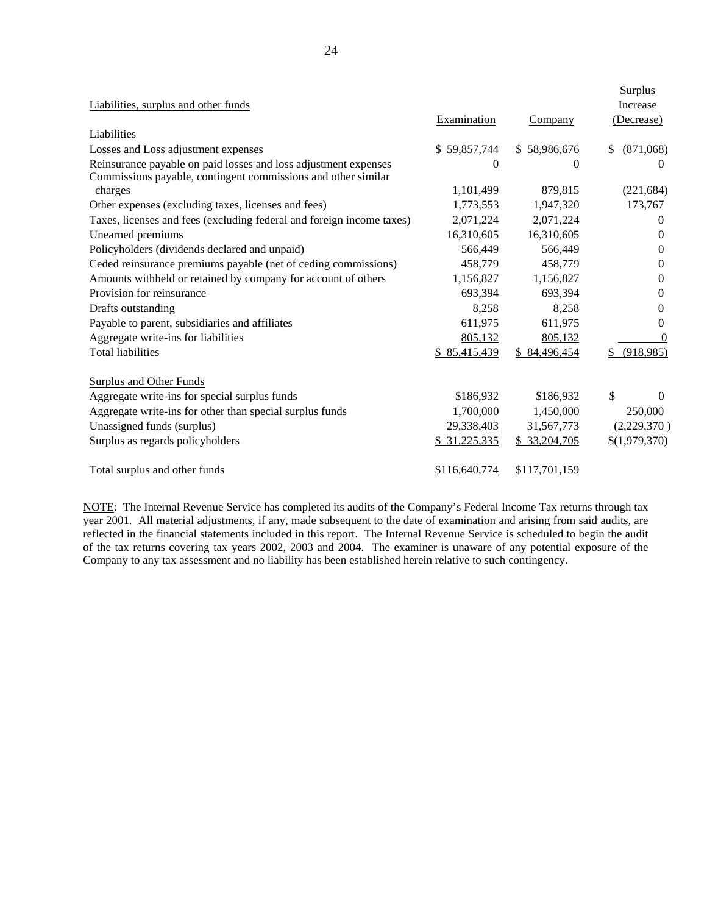| Liabilities, surplus and other funds<br>Liabilities                                                                              | Examination   | Company       | Surplus<br><b>Increase</b><br>(Decrease) |
|----------------------------------------------------------------------------------------------------------------------------------|---------------|---------------|------------------------------------------|
| Losses and Loss adjustment expenses                                                                                              | \$59,857,744  | \$58,986,676  | (871,068)<br>\$.                         |
| Reinsurance payable on paid losses and loss adjustment expenses<br>Commissions payable, contingent commissions and other similar | 0             | $\theta$      | $\theta$                                 |
| charges                                                                                                                          | 1,101,499     | 879,815       | (221, 684)                               |
| Other expenses (excluding taxes, licenses and fees)                                                                              | 1,773,553     | 1,947,320     | 173,767                                  |
| Taxes, licenses and fees (excluding federal and foreign income taxes)                                                            | 2,071,224     | 2,071,224     | 0                                        |
| Unearned premiums                                                                                                                | 16,310,605    | 16,310,605    | $\theta$                                 |
| Policyholders (dividends declared and unpaid)                                                                                    | 566,449       | 566,449       | 0                                        |
| Ceded reinsurance premiums payable (net of ceding commissions)                                                                   | 458,779       | 458,779       | 0                                        |
| Amounts withheld or retained by company for account of others                                                                    | 1,156,827     | 1,156,827     | 0                                        |
| Provision for reinsurance                                                                                                        | 693,394       | 693,394       | 0                                        |
| Drafts outstanding                                                                                                               | 8,258         | 8,258         | 0                                        |
| Payable to parent, subsidiaries and affiliates                                                                                   | 611,975       | 611,975       | $\theta$                                 |
| Aggregate write-ins for liabilities                                                                                              | 805,132       | 805,132       | $\Omega$                                 |
| <b>Total liabilities</b>                                                                                                         | \$85,415,439  | \$84,496,454  | (918, 985)                               |
| <b>Surplus and Other Funds</b>                                                                                                   |               |               |                                          |
| Aggregate write-ins for special surplus funds                                                                                    | \$186,932     | \$186,932     | \$<br>$\Omega$                           |
| Aggregate write-ins for other than special surplus funds                                                                         | 1,700,000     | 1,450,000     | 250,000                                  |
| Unassigned funds (surplus)                                                                                                       | 29,338,403    | 31,567,773    | (2,229,370)                              |
| Surplus as regards policyholders                                                                                                 | \$31,225,335  | \$33,204,705  | \$(1,979,370)                            |
| Total surplus and other funds                                                                                                    | \$116,640,774 | \$117,701,159 |                                          |

NOTE: The Internal Revenue Service has completed its audits of the Company's Federal Income Tax returns through tax year 2001. All material adjustments, if any, made subsequent to the date of examination and arising from said audits, are reflected in the financial statements included in this report. The Internal Revenue Service is scheduled to begin the audit of the tax returns covering tax years 2002, 2003 and 2004. The examiner is unaware of any potential exposure of the Company to any tax assessment and no liability has been established herein relative to such contingency.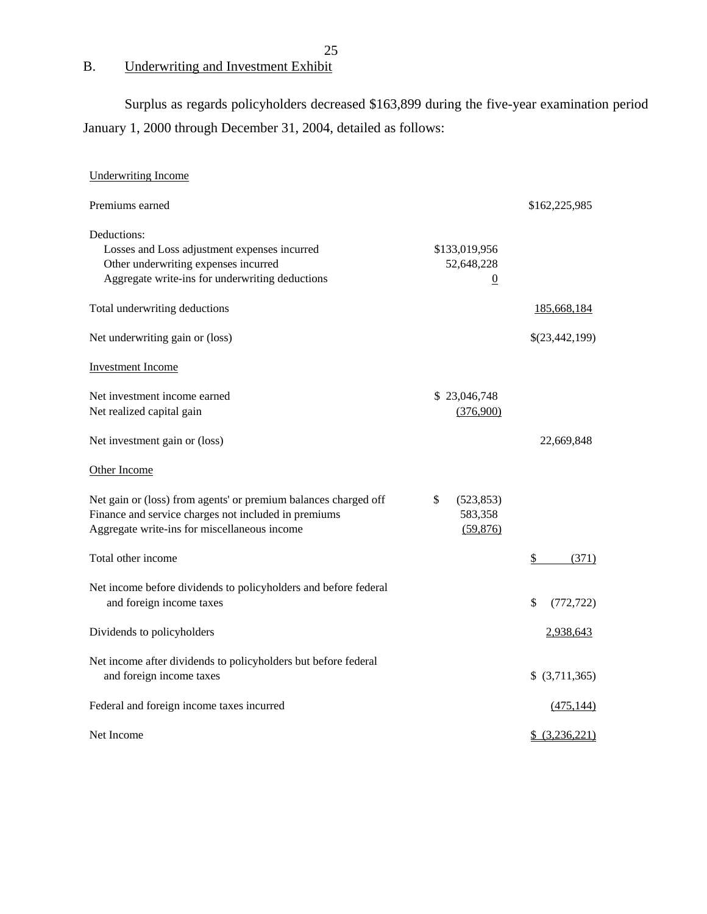# B. Underwriting and Investment Exhibit

Surplus as regards policyholders decreased \$163,899 during the five-year examination period January 1, 2000 through December 31, 2004, detailed as follows:

| <b>Underwriting Income</b>                                                                                                                                              |                                               |                        |
|-------------------------------------------------------------------------------------------------------------------------------------------------------------------------|-----------------------------------------------|------------------------|
| Premiums earned                                                                                                                                                         |                                               | \$162,225,985          |
| Deductions:<br>Losses and Loss adjustment expenses incurred<br>Other underwriting expenses incurred<br>Aggregate write-ins for underwriting deductions                  | \$133,019,956<br>52,648,228<br>$\overline{0}$ |                        |
| Total underwriting deductions                                                                                                                                           |                                               | 185,668,184            |
| Net underwriting gain or (loss)                                                                                                                                         |                                               | \$(23,442,199)         |
| <b>Investment Income</b>                                                                                                                                                |                                               |                        |
| Net investment income earned<br>Net realized capital gain                                                                                                               | \$23,046,748<br>(376,900)                     |                        |
| Net investment gain or (loss)                                                                                                                                           |                                               | 22,669,848             |
| Other Income                                                                                                                                                            |                                               |                        |
| Net gain or (loss) from agents' or premium balances charged off<br>Finance and service charges not included in premiums<br>Aggregate write-ins for miscellaneous income | \$<br>(523, 853)<br>583,358<br>(59, 876)      |                        |
| Total other income                                                                                                                                                      |                                               | $\frac{1}{2}$<br>(371) |
| Net income before dividends to policyholders and before federal<br>and foreign income taxes                                                                             |                                               | \$<br>(772, 722)       |
| Dividends to policyholders                                                                                                                                              |                                               | 2,938,643              |
| Net income after dividends to policyholders but before federal<br>and foreign income taxes                                                                              |                                               | \$ (3,711,365)         |
| Federal and foreign income taxes incurred                                                                                                                               |                                               | (475, 144)             |
| Net Income                                                                                                                                                              |                                               | \$ (3,236,221)         |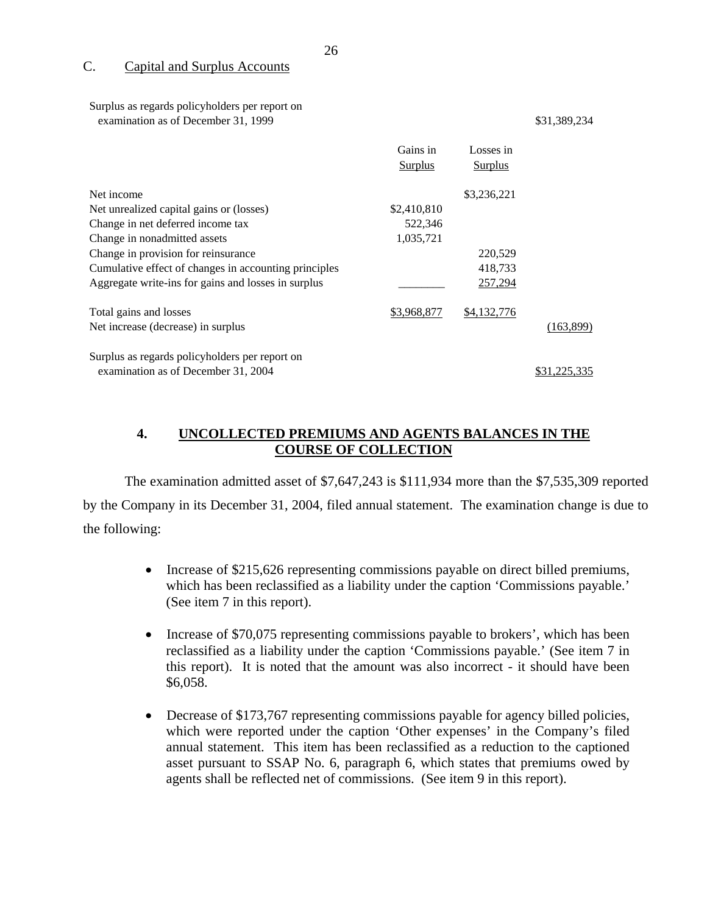### C. Capital and Surplus Accounts

Surplus as regards policyholders per report on examination as of December 31, 1999 \$31,389,234

# Gains in Losses in **Surplus** Surplus Surplus Surplus Surplus Surplus Surplus Surplus Surplus Surplus Surplus Surplus Surplus Surplus Surplus Surplus Surplus Surplus Surplus Surplus Surplus Surplus Surplus Surplus Surplus Surplus Surplus Surp Net income \$3,236,221 Net unrealized capital gains or (losses) \$2,410,810 Change in net deferred income tax 522,346 Change in nonadmitted assets 1,035,721 Change in provision for reinsurance 220,529 Cumulative effect of changes in accounting principles 418,733 Aggregate write-ins for gains and losses in surplus \_\_\_\_\_\_\_\_\_\_\_\_\_\_ 257,294 Total gains and losses \$3,968,877 \$4,132,776 Net increase (decrease) in surplus (163,899) Surplus as regards policyholders per report on examination as of December 31, 2004 \$31,225,335

### **4. UNCOLLECTED PREMIUMS AND AGENTS BALANCES IN THE COURSE OF COLLECTION**

The examination admitted asset of \$7,647,243 is \$111,934 more than the \$7,535,309 reported by the Company in its December 31, 2004, filed annual statement. The examination change is due to the following:

- Increase of \$215,626 representing commissions payable on direct billed premiums, which has been reclassified as a liability under the caption 'Commissions payable.' (See item 7 in this report).
- Increase of \$70,075 representing commissions payable to brokers', which has been reclassified as a liability under the caption 'Commissions payable.' (See item 7 in this report). It is noted that the amount was also incorrect - it should have been \$6,058.
- Decrease of \$173,767 representing commissions payable for agency billed policies, which were reported under the caption 'Other expenses' in the Company's filed annual statement. This item has been reclassified as a reduction to the captioned asset pursuant to SSAP No. 6, paragraph 6, which states that premiums owed by agents shall be reflected net of commissions. (See item 9 in this report).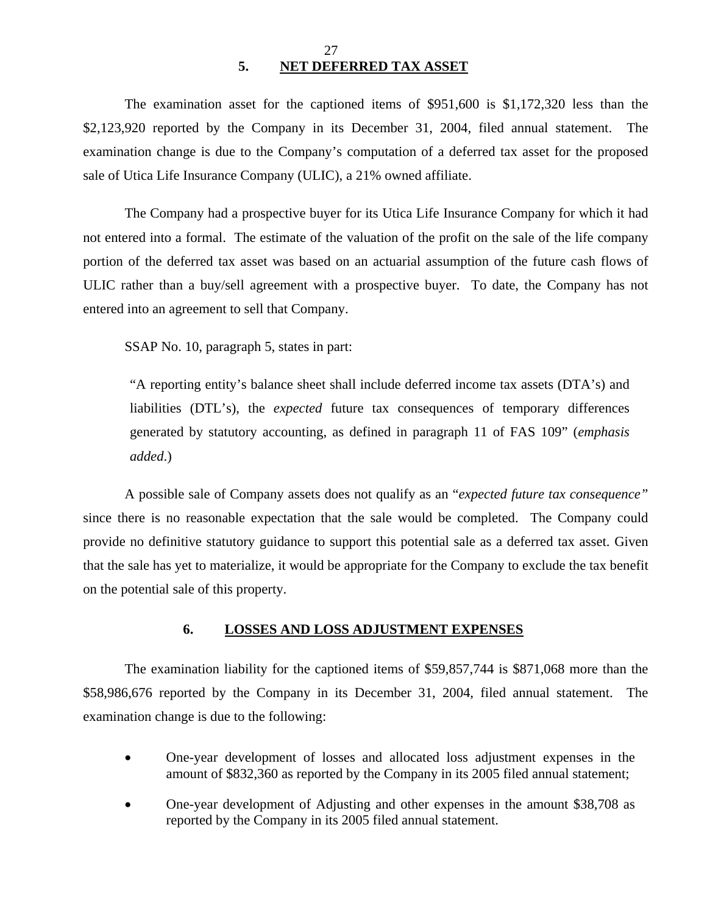### 27 **5. NET DEFERRED TAX ASSET**

The examination asset for the captioned items of \$951,600 is \$1,172,320 less than the \$2,123,920 reported by the Company in its December 31, 2004, filed annual statement. The examination change is due to the Company's computation of a deferred tax asset for the proposed sale of Utica Life Insurance Company (ULIC), a 21% owned affiliate.

The Company had a prospective buyer for its Utica Life Insurance Company for which it had not entered into a formal. The estimate of the valuation of the profit on the sale of the life company portion of the deferred tax asset was based on an actuarial assumption of the future cash flows of ULIC rather than a buy/sell agreement with a prospective buyer. To date, the Company has not entered into an agreement to sell that Company.

SSAP No. 10, paragraph 5, states in part:

"A reporting entity's balance sheet shall include deferred income tax assets (DTA's) and liabilities (DTL's), the *expected* future tax consequences of temporary differences generated by statutory accounting, as defined in paragraph 11 of FAS 109" (*emphasis added*.)

A possible sale of Company assets does not qualify as an "*expected future tax consequence"*  since there is no reasonable expectation that the sale would be completed. The Company could provide no definitive statutory guidance to support this potential sale as a deferred tax asset. Given that the sale has yet to materialize, it would be appropriate for the Company to exclude the tax benefit on the potential sale of this property.

### **6. LOSSES AND LOSS ADJUSTMENT EXPENSES**

The examination liability for the captioned items of \$59,857,744 is \$871,068 more than the \$58,986,676 reported by the Company in its December 31, 2004, filed annual statement. The examination change is due to the following:

- One-year development of losses and allocated loss adjustment expenses in the amount of \$832,360 as reported by the Company in its 2005 filed annual statement;
- One-year development of Adjusting and other expenses in the amount \$38,708 as reported by the Company in its 2005 filed annual statement.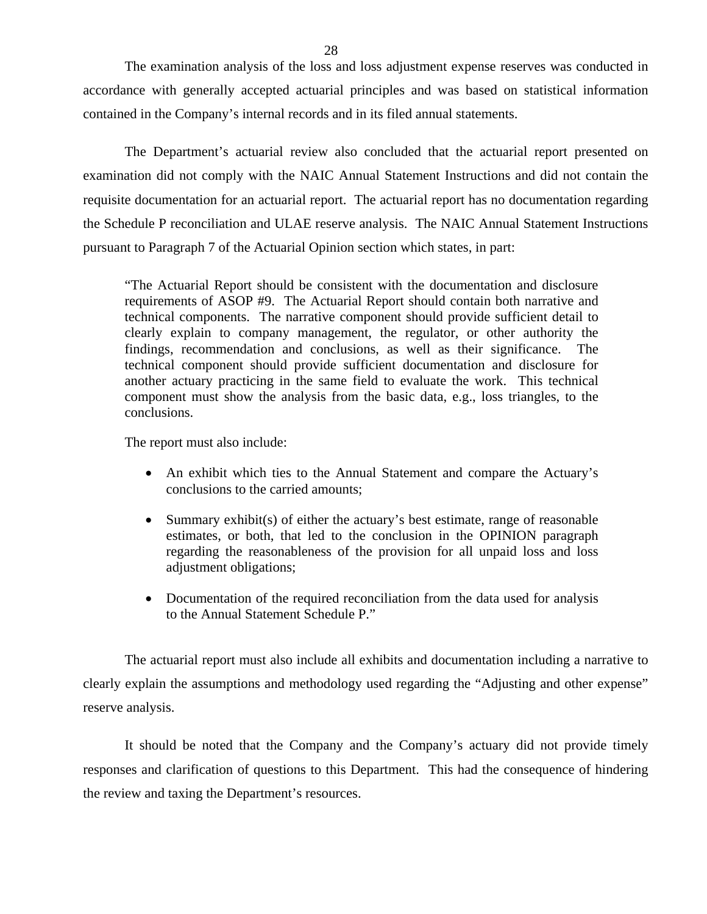The examination analysis of the loss and loss adjustment expense reserves was conducted in accordance with generally accepted actuarial principles and was based on statistical information contained in the Company's internal records and in its filed annual statements.

The Department's actuarial review also concluded that the actuarial report presented on examination did not comply with the NAIC Annual Statement Instructions and did not contain the requisite documentation for an actuarial report. The actuarial report has no documentation regarding the Schedule P reconciliation and ULAE reserve analysis. The NAIC Annual Statement Instructions pursuant to Paragraph 7 of the Actuarial Opinion section which states, in part:

"The Actuarial Report should be consistent with the documentation and disclosure requirements of ASOP #9. The Actuarial Report should contain both narrative and technical components. The narrative component should provide sufficient detail to clearly explain to company management, the regulator, or other authority the findings, recommendation and conclusions, as well as their significance. The technical component should provide sufficient documentation and disclosure for another actuary practicing in the same field to evaluate the work. This technical component must show the analysis from the basic data, e.g., loss triangles, to the conclusions.

The report must also include:

- An exhibit which ties to the Annual Statement and compare the Actuary's conclusions to the carried amounts;
- Summary exhibit(s) of either the actuary's best estimate, range of reasonable estimates, or both, that led to the conclusion in the OPINION paragraph regarding the reasonableness of the provision for all unpaid loss and loss adjustment obligations;
- Documentation of the required reconciliation from the data used for analysis to the Annual Statement Schedule P."

The actuarial report must also include all exhibits and documentation including a narrative to clearly explain the assumptions and methodology used regarding the "Adjusting and other expense" reserve analysis.

It should be noted that the Company and the Company's actuary did not provide timely responses and clarification of questions to this Department. This had the consequence of hindering the review and taxing the Department's resources.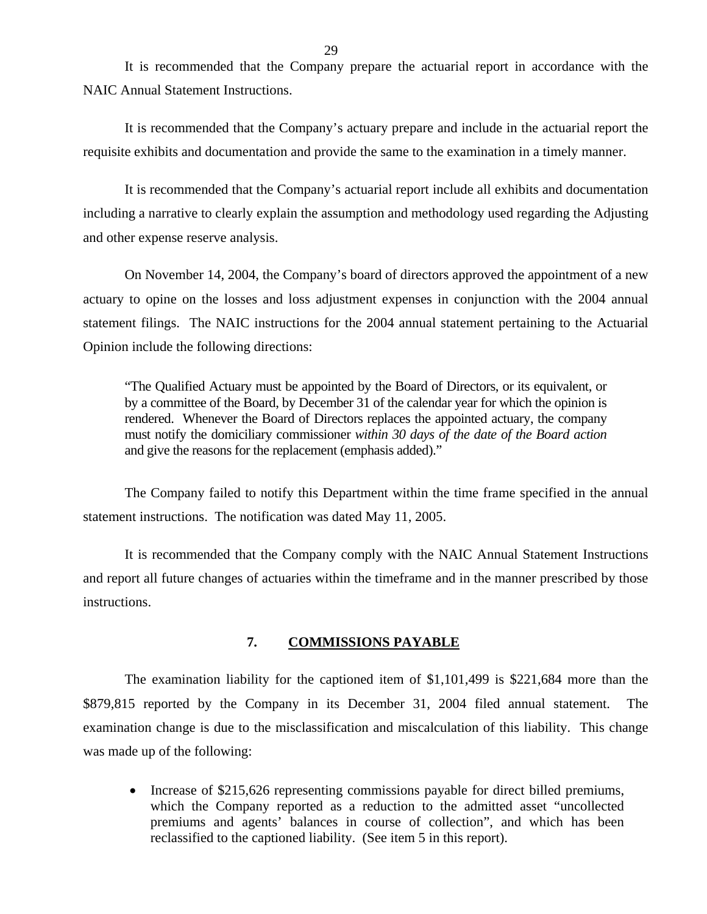It is recommended that the Company prepare the actuarial report in accordance with the NAIC Annual Statement Instructions.

It is recommended that the Company's actuary prepare and include in the actuarial report the requisite exhibits and documentation and provide the same to the examination in a timely manner.

It is recommended that the Company's actuarial report include all exhibits and documentation including a narrative to clearly explain the assumption and methodology used regarding the Adjusting and other expense reserve analysis.

On November 14, 2004, the Company's board of directors approved the appointment of a new actuary to opine on the losses and loss adjustment expenses in conjunction with the 2004 annual statement filings. The NAIC instructions for the 2004 annual statement pertaining to the Actuarial Opinion include the following directions:

"The Qualified Actuary must be appointed by the Board of Directors, or its equivalent, or by a committee of the Board, by December 31 of the calendar year for which the opinion is rendered. Whenever the Board of Directors replaces the appointed actuary, the company must notify the domiciliary commissioner *within 30 days of the date of the Board action*  and give the reasons for the replacement (emphasis added)."

The Company failed to notify this Department within the time frame specified in the annual statement instructions. The notification was dated May 11, 2005.

It is recommended that the Company comply with the NAIC Annual Statement Instructions and report all future changes of actuaries within the timeframe and in the manner prescribed by those instructions.

### **7. COMMISSIONS PAYABLE**

The examination liability for the captioned item of \$1,101,499 is \$221,684 more than the \$879,815 reported by the Company in its December 31, 2004 filed annual statement. The examination change is due to the misclassification and miscalculation of this liability. This change was made up of the following:

• Increase of \$215,626 representing commissions payable for direct billed premiums, which the Company reported as a reduction to the admitted asset "uncollected premiums and agents' balances in course of collection", and which has been reclassified to the captioned liability. (See item 5 in this report).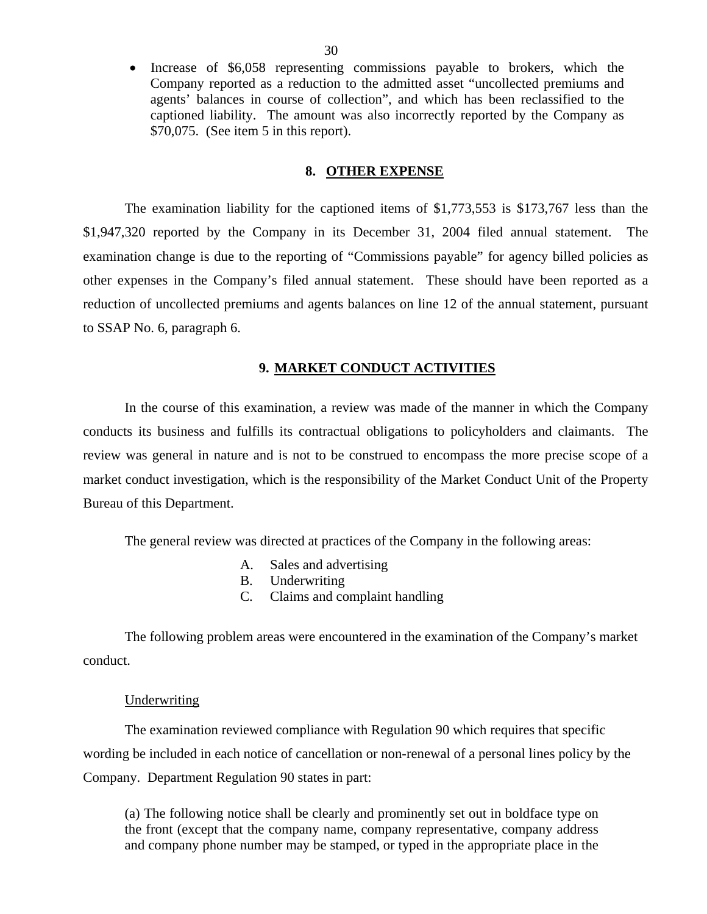Increase of \$6,058 representing commissions payable to brokers, which the Company reported as a reduction to the admitted asset "uncollected premiums and agents' balances in course of collection", and which has been reclassified to the captioned liability. The amount was also incorrectly reported by the Company as \$70,075. (See item 5 in this report).

### **8. OTHER EXPENSE**

The examination liability for the captioned items of \$1,773,553 is \$173,767 less than the \$1,947,320 reported by the Company in its December 31, 2004 filed annual statement. The examination change is due to the reporting of "Commissions payable" for agency billed policies as other expenses in the Company's filed annual statement. These should have been reported as a reduction of uncollected premiums and agents balances on line 12 of the annual statement, pursuant to SSAP No. 6, paragraph 6.

### **9. MARKET CONDUCT ACTIVITIES**

In the course of this examination, a review was made of the manner in which the Company conducts its business and fulfills its contractual obligations to policyholders and claimants. The review was general in nature and is not to be construed to encompass the more precise scope of a market conduct investigation, which is the responsibility of the Market Conduct Unit of the Property Bureau of this Department.

The general review was directed at practices of the Company in the following areas:

- A. Sales and advertising
- B. Underwriting
- C. Claims and complaint handling

The following problem areas were encountered in the examination of the Company's market conduct.

### Underwriting

The examination reviewed compliance with Regulation 90 which requires that specific wording be included in each notice of cancellation or non-renewal of a personal lines policy by the Company. Department Regulation 90 states in part:

(a) The following notice shall be clearly and prominently set out in boldface type on the front (except that the company name, company representative, company address and company phone number may be stamped, or typed in the appropriate place in the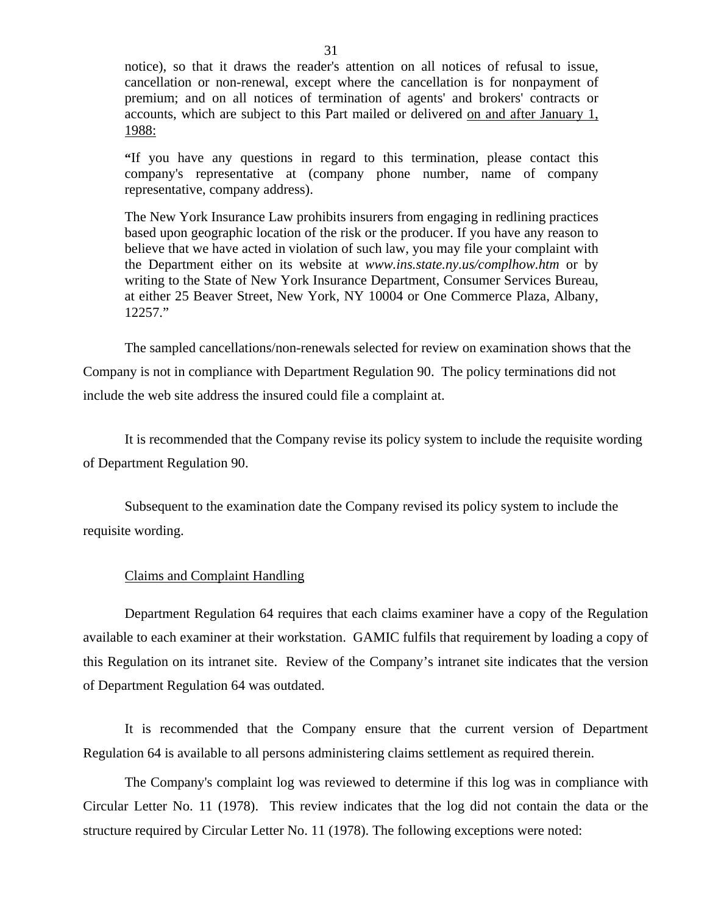notice), so that it draws the reader's attention on all notices of refusal to issue, cancellation or non-renewal, except where the cancellation is for nonpayment of premium; and on all notices of termination of agents' and brokers' contracts or accounts, which are subject to this Part mailed or delivered on and after January 1, 1988:

**"**If you have any questions in regard to this termination, please contact this company's representative at (company phone number, name of company representative, company address).

The New York Insurance Law prohibits insurers from engaging in redlining practices based upon geographic location of the risk or the producer. If you have any reason to believe that we have acted in violation of such law, you may file your complaint with the Department either on its website at *<www.ins.state.ny.us/complhow.htm>* or by writing to the State of New York Insurance Department, Consumer Services Bureau, at either 25 Beaver Street, New York, NY 10004 or One Commerce Plaza, Albany, 12257."

The sampled cancellations/non-renewals selected for review on examination shows that the

Company is not in compliance with Department Regulation 90. The policy terminations did not include the web site address the insured could file a complaint at.

It is recommended that the Company revise its policy system to include the requisite wording of Department Regulation 90.

Subsequent to the examination date the Company revised its policy system to include the requisite wording.

### Claims and Complaint Handling

Department Regulation 64 requires that each claims examiner have a copy of the Regulation available to each examiner at their workstation. GAMIC fulfils that requirement by loading a copy of this Regulation on its intranet site. Review of the Company's intranet site indicates that the version of Department Regulation 64 was outdated.

It is recommended that the Company ensure that the current version of Department Regulation 64 is available to all persons administering claims settlement as required therein.

The Company's complaint log was reviewed to determine if this log was in compliance with Circular Letter No. 11 (1978). This review indicates that the log did not contain the data or the structure required by Circular Letter No. 11 (1978). The following exceptions were noted: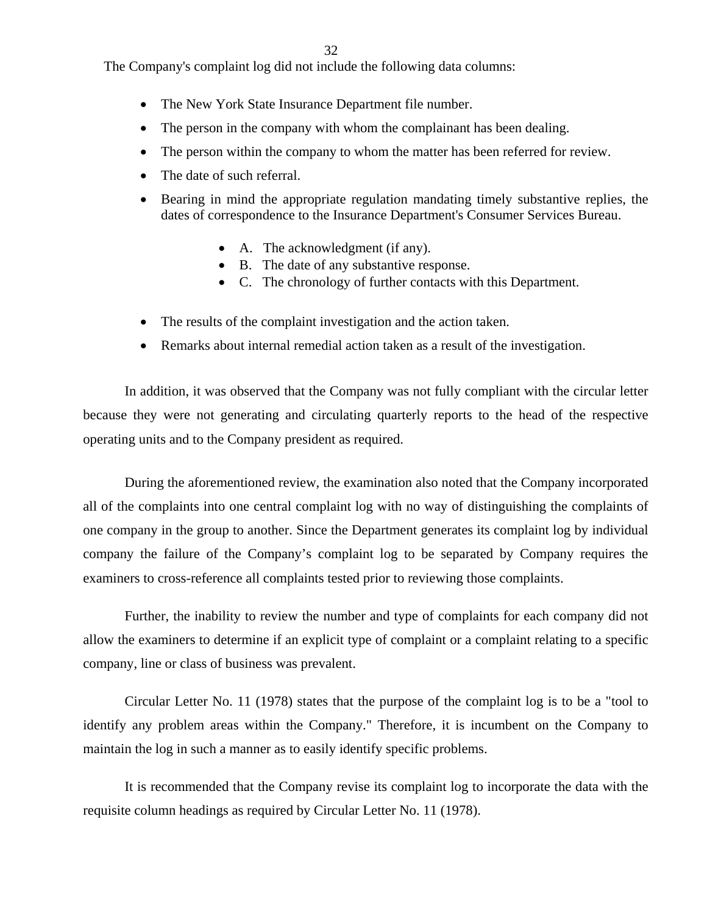32

The Company's complaint log did not include the following data columns:

- The New York State Insurance Department file number.
- The person in the company with whom the complainant has been dealing.
- The person within the company to whom the matter has been referred for review.
- The date of such referral.
- Bearing in mind the appropriate regulation mandating timely substantive replies, the dates of correspondence to the Insurance Department's Consumer Services Bureau.
	- A. The acknowledgment (if any).
	- B. The date of any substantive response.
	- C. The chronology of further contacts with this Department.
- The results of the complaint investigation and the action taken.
- Remarks about internal remedial action taken as a result of the investigation.

In addition, it was observed that the Company was not fully compliant with the circular letter because they were not generating and circulating quarterly reports to the head of the respective operating units and to the Company president as required.

During the aforementioned review, the examination also noted that the Company incorporated all of the complaints into one central complaint log with no way of distinguishing the complaints of one company in the group to another. Since the Department generates its complaint log by individual company the failure of the Company's complaint log to be separated by Company requires the examiners to cross-reference all complaints tested prior to reviewing those complaints.

Further, the inability to review the number and type of complaints for each company did not allow the examiners to determine if an explicit type of complaint or a complaint relating to a specific company, line or class of business was prevalent.

Circular Letter No. 11 (1978) states that the purpose of the complaint log is to be a "tool to identify any problem areas within the Company." Therefore, it is incumbent on the Company to maintain the log in such a manner as to easily identify specific problems.

It is recommended that the Company revise its complaint log to incorporate the data with the requisite column headings as required by Circular Letter No. 11 (1978).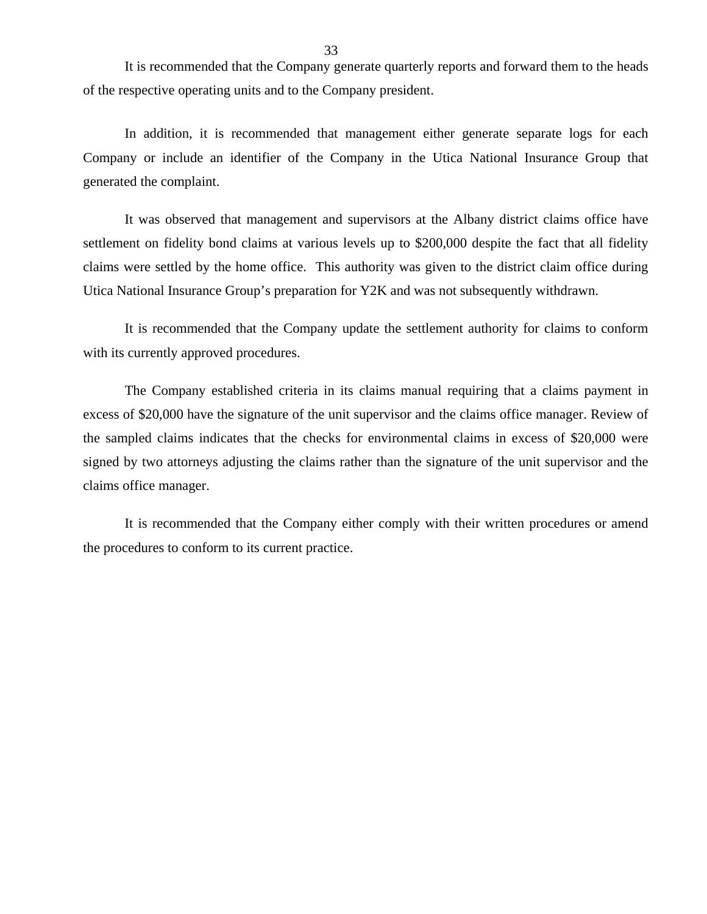It is recommended that the Company generate quarterly reports and forward them to the heads of the respective operating units and to the Company president.

In addition, it is recommended that management either generate separate logs for each Company or include an identifier of the Company in the Utica National Insurance Group that generated the complaint.

It was observed that management and supervisors at the Albany district claims office have settlement on fidelity bond claims at various levels up to \$200,000 despite the fact that all fidelity claims were settled by the home office. This authority was given to the district claim office during Utica National Insurance Group's preparation for Y2K and was not subsequently withdrawn.

It is recommended that the Company update the settlement authority for claims to conform with its currently approved procedures.

The Company established criteria in its claims manual requiring that a claims payment in excess of \$20,000 have the signature of the unit supervisor and the claims office manager. Review of the sampled claims indicates that the checks for environmental claims in excess of \$20,000 were signed by two attorneys adjusting the claims rather than the signature of the unit supervisor and the claims office manager.

It is recommended that the Company either comply with their written procedures or amend the procedures to conform to its current practice.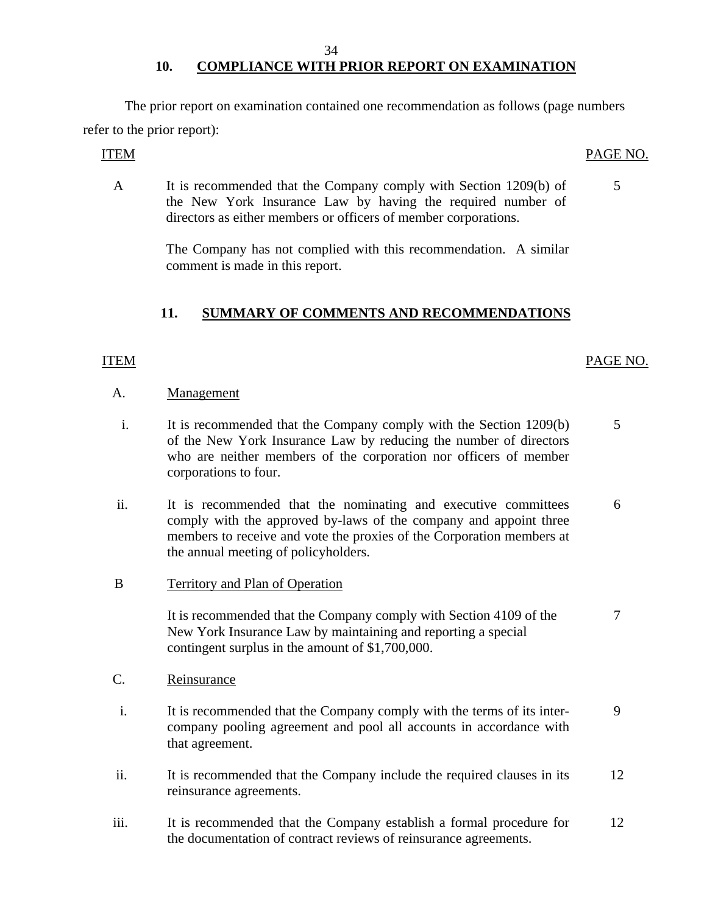#### 34

# 10. COMPLIANCE WITH PRIOR REPORT ON EXAMINATION

The prior report on examination contained one recommendation as follows (page numbers refer to the prior report):

A It is recommended that the Company comply with Section 1209(b) of 5 the New York Insurance Law by having the required number of directors as either members or officers of member corporations.

> The Company has not complied with this recommendation. A similar comment is made in this report.

## **11. SUMMARY OF COMMENTS AND RECOMMENDATIONS**

### ITEM PAGE NO.

### A. Management

- i. It is recommended that the Company comply with the Section 1209(b) 5 of the New York Insurance Law by reducing the number of directors who are neither members of the corporation nor officers of member corporations to four.
- ii. It is recommended that the nominating and executive committees 6 comply with the approved by-laws of the company and appoint three members to receive and vote the proxies of the Corporation members at the annual meeting of policyholders.
- B Territory and Plan of Operation

It is recommended that the Company comply with Section 4109 of the 7 New York Insurance Law by maintaining and reporting a special contingent surplus in the amount of \$1,700,000.

- C. Reinsurance
- i. It is recommended that the Company comply with the terms of its inter- 9 company pooling agreement and pool all accounts in accordance with that agreement.
- ii. It is recommended that the Company include the required clauses in its 12 reinsurance agreements.
- iii. It is recommended that the Company establish a formal procedure for 12 the documentation of contract reviews of reinsurance agreements.

### ITEM PAGE NO.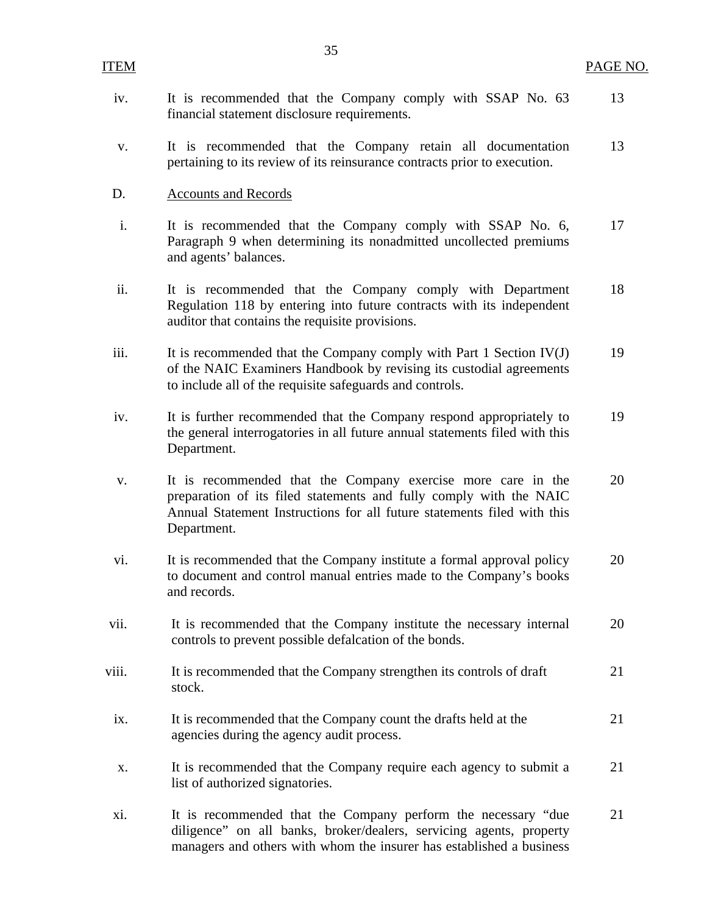| iv.   | It is recommended that the Company comply with SSAP No. 63<br>financial statement disclosure requirements.                                                                                                                   | 13 |
|-------|------------------------------------------------------------------------------------------------------------------------------------------------------------------------------------------------------------------------------|----|
| V.    | It is recommended that the Company retain all documentation<br>pertaining to its review of its reinsurance contracts prior to execution.                                                                                     | 13 |
| D.    | <b>Accounts and Records</b>                                                                                                                                                                                                  |    |
| i.    | It is recommended that the Company comply with SSAP No. 6,<br>Paragraph 9 when determining its nonadmitted uncollected premiums<br>and agents' balances.                                                                     | 17 |
| ii.   | It is recommended that the Company comply with Department<br>Regulation 118 by entering into future contracts with its independent<br>auditor that contains the requisite provisions.                                        | 18 |
| iii.  | It is recommended that the Company comply with Part 1 Section IV(J)<br>of the NAIC Examiners Handbook by revising its custodial agreements<br>to include all of the requisite safeguards and controls.                       | 19 |
| iv.   | It is further recommended that the Company respond appropriately to<br>the general interrogatories in all future annual statements filed with this<br>Department.                                                            | 19 |
| V.    | It is recommended that the Company exercise more care in the<br>preparation of its filed statements and fully comply with the NAIC<br>Annual Statement Instructions for all future statements filed with this<br>Department. | 20 |
| vi.   | It is recommended that the Company institute a formal approval policy<br>to document and control manual entries made to the Company's books<br>and records.                                                                  | 20 |
| vii.  | It is recommended that the Company institute the necessary internal<br>controls to prevent possible defalcation of the bonds.                                                                                                | 20 |
| viii. | It is recommended that the Company strengthen its controls of draft<br>stock.                                                                                                                                                | 21 |
| ix.   | It is recommended that the Company count the drafts held at the<br>agencies during the agency audit process.                                                                                                                 | 21 |
| X.    | It is recommended that the Company require each agency to submit a<br>list of authorized signatories.                                                                                                                        | 21 |
| xi.   | It is recommended that the Company perform the necessary "due<br>diligence" on all banks, broker/dealers, servicing agents, property<br>managers and others with whom the insurer has established a business                 | 21 |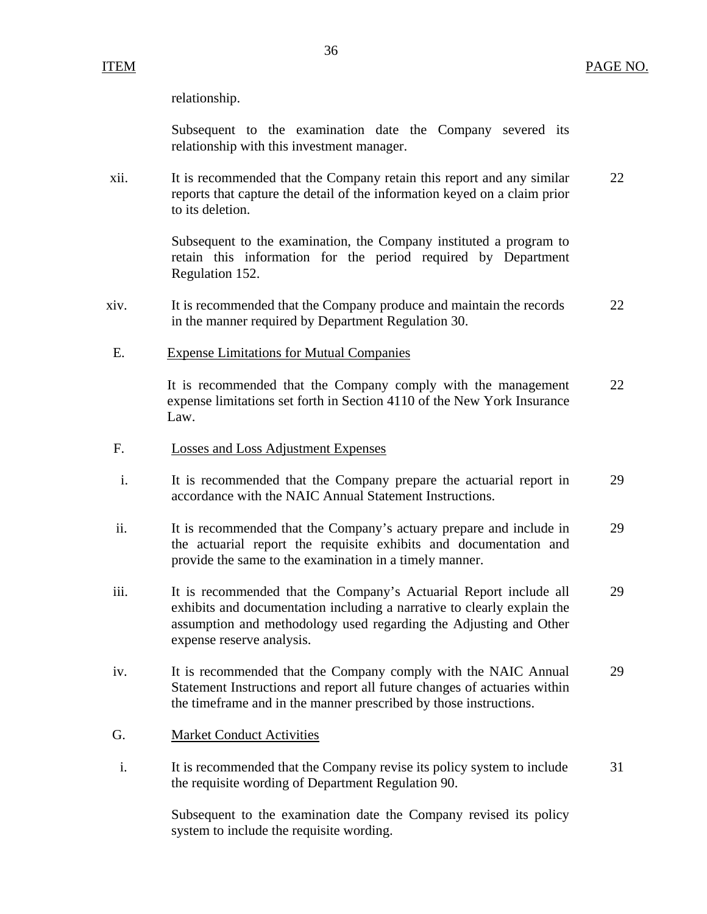ITEM PAGE NO.

relationship.

Subsequent to the examination date the Company severed its relationship with this investment manager.

xii. It is recommended that the Company retain this report and any similar 22 reports that capture the detail of the information keyed on a claim prior to its deletion.

> Subsequent to the examination, the Company instituted a program to retain this information for the period required by Department Regulation 152.

- xiv. It is recommended that the Company produce and maintain the records 22 in the manner required by Department Regulation 30.
- E. Expense Limitations for Mutual Companies

It is recommended that the Company comply with the management 22 expense limitations set forth in Section 4110 of the New York Insurance Law.

- F. Losses and Loss Adjustment Expenses
- i. It is recommended that the Company prepare the actuarial report in 29 accordance with the NAIC Annual Statement Instructions.
- ii. It is recommended that the Company's actuary prepare and include in 29 the actuarial report the requisite exhibits and documentation and provide the same to the examination in a timely manner.
- iii. It is recommended that the Company's Actuarial Report include all 29 exhibits and documentation including a narrative to clearly explain the assumption and methodology used regarding the Adjusting and Other expense reserve analysis.
- iv. It is recommended that the Company comply with the NAIC Annual 29 Statement Instructions and report all future changes of actuaries within the timeframe and in the manner prescribed by those instructions.
- G. Market Conduct Activities
- i. It is recommended that the Company revise its policy system to include 31 the requisite wording of Department Regulation 90.

Subsequent to the examination date the Company revised its policy system to include the requisite wording.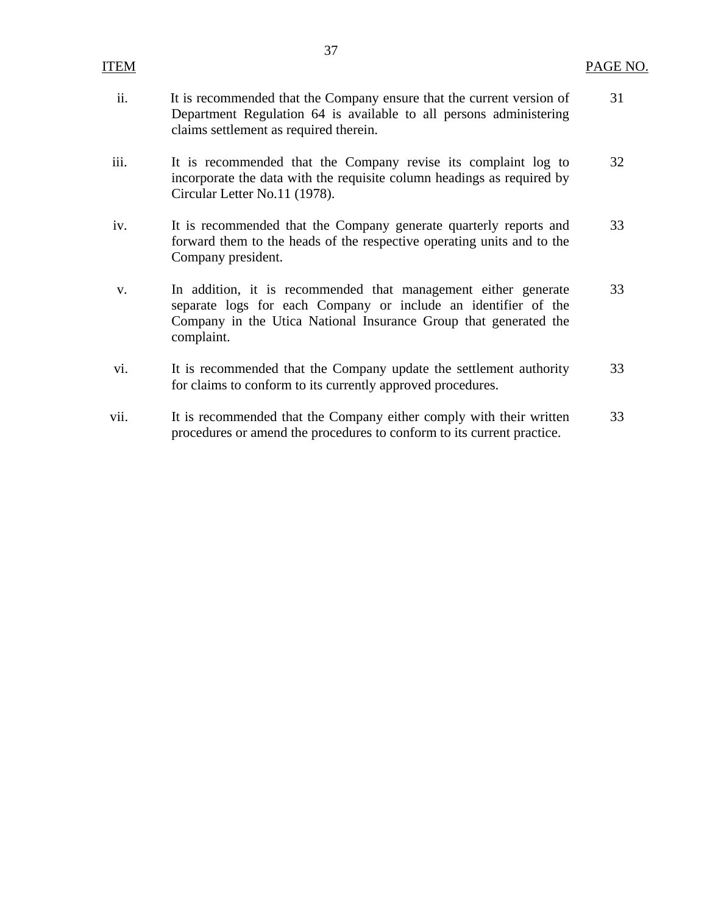|--|

- ii. It is recommended that the Company ensure that the current version of 31 Department Regulation 64 is available to all persons administering claims settlement as required therein.
- iii. It is recommended that the Company revise its complaint log to 32 incorporate the data with the requisite column headings as required by Circular Letter No.11 (1978).
- iv. It is recommended that the Company generate quarterly reports and 33 forward them to the heads of the respective operating units and to the Company president.
- v. In addition, it is recommended that management either generate 33 separate logs for each Company or include an identifier of the Company in the Utica National Insurance Group that generated the complaint.
- vi. It is recommended that the Company update the settlement authority 33 for claims to conform to its currently approved procedures.
- vii. It is recommended that the Company either comply with their written 33 procedures or amend the procedures to conform to its current practice.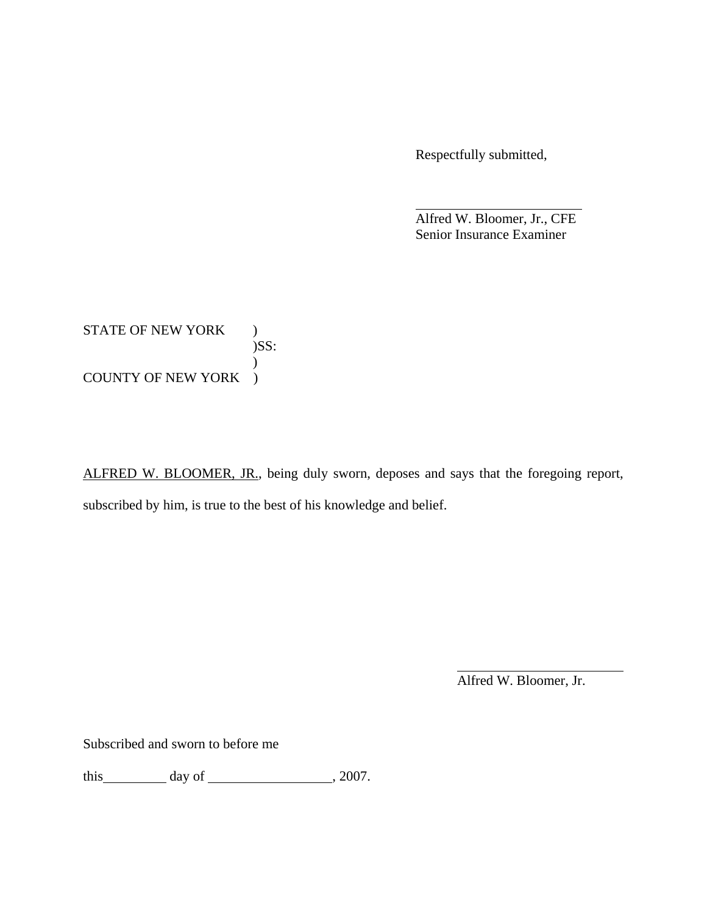Respectfully submitted,

 Alfred W. Bloomer, Jr., CFE Senior Insurance Examiner

STATE OF NEW YORK ) )SS:  $\mathcal{L}$ COUNTY OF NEW YORK )

ALFRED W. BLOOMER, JR., being duly sworn, deposes and says that the foregoing report, subscribed by him, is true to the best of his knowledge and belief.

Alfred W. Bloomer, Jr.

Subscribed and sworn to before me

this  $\qquad \qquad \text{day of} \qquad \qquad 2007.$